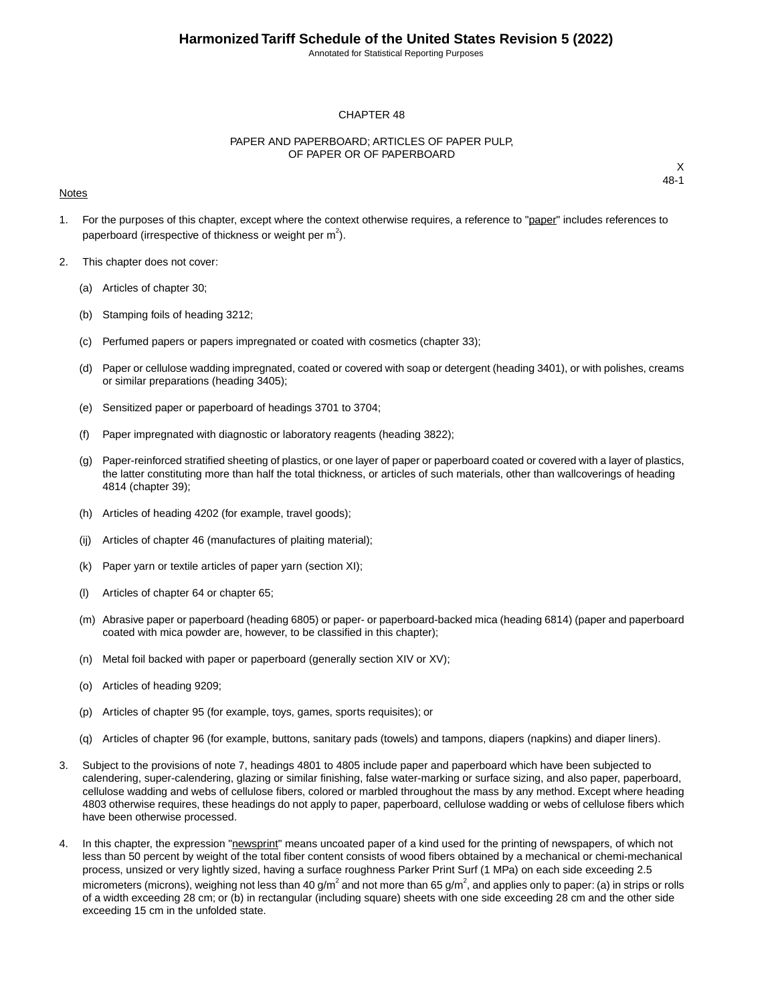Annotated for Statistical Reporting Purposes

#### CHAPTER 48

#### PAPER AND PAPERBOARD; ARTICLES OF PAPER PULP, OF PAPER OR OF PAPERBOARD

#### Notes

- 1. For the purposes of this chapter, except where the context otherwise requires, a reference to "paper" includes references to paperboard (irrespective of thickness or weight per  $m^2$ ).
- 2. This chapter does not cover:
	- (a) Articles of chapter 30;
	- (b) Stamping foils of heading 3212;
	- (c) Perfumed papers or papers impregnated or coated with cosmetics (chapter 33);
	- (d) Paper or cellulose wadding impregnated, coated or covered with soap or detergent (heading 3401), or with polishes, creams or similar preparations (heading 3405);
	- (e) Sensitized paper or paperboard of headings 3701 to 3704;
	- (f) Paper impregnated with diagnostic or laboratory reagents (heading 3822);
	- (g) Paper-reinforced stratified sheeting of plastics, or one layer of paper or paperboard coated or covered with a layer of plastics, the latter constituting more than half the total thickness, or articles of such materials, other than wallcoverings of heading 4814 (chapter 39);
	- (h) Articles of heading 4202 (for example, travel goods);
	- (ij) Articles of chapter 46 (manufactures of plaiting material);
	- (k) Paper yarn or textile articles of paper yarn (section XI);
	- (l) Articles of chapter 64 or chapter 65;
	- (m) Abrasive paper or paperboard (heading 6805) or paper- or paperboard-backed mica (heading 6814) (paper and paperboard coated with mica powder are, however, to be classified in this chapter);
	- (n) Metal foil backed with paper or paperboard (generally section XIV or XV);
	- (o) Articles of heading 9209;
	- (p) Articles of chapter 95 (for example, toys, games, sports requisites); or
	- (q) Articles of chapter 96 (for example, buttons, sanitary pads (towels) and tampons, diapers (napkins) and diaper liners).
- 3. Subject to the provisions of note 7, headings 4801 to 4805 include paper and paperboard which have been subjected to calendering, super-calendering, glazing or similar finishing, false water-marking or surface sizing, and also paper, paperboard, cellulose wadding and webs of cellulose fibers, colored or marbled throughout the mass by any method. Except where heading 4803 otherwise requires, these headings do not apply to paper, paperboard, cellulose wadding or webs of cellulose fibers which have been otherwise processed.
- 4. In this chapter, the expression "newsprint" means uncoated paper of a kind used for the printing of newspapers, of which not less than 50 percent by weight of the total fiber content consists of wood fibers obtained by a mechanical or chemi-mechanical process, unsized or very lightly sized, having a surface roughness Parker Print Surf (1 MPa) on each side exceeding 2.5 micrometers (microns), weighing not less than 40 g/m<sup>2</sup> and not more than 65 g/m<sup>2</sup>, and applies only to paper: (a) in strips or rolls of a width exceeding 28 cm; or (b) in rectangular (including square) sheets with one side exceeding 28 cm and the other side exceeding 15 cm in the unfolded state.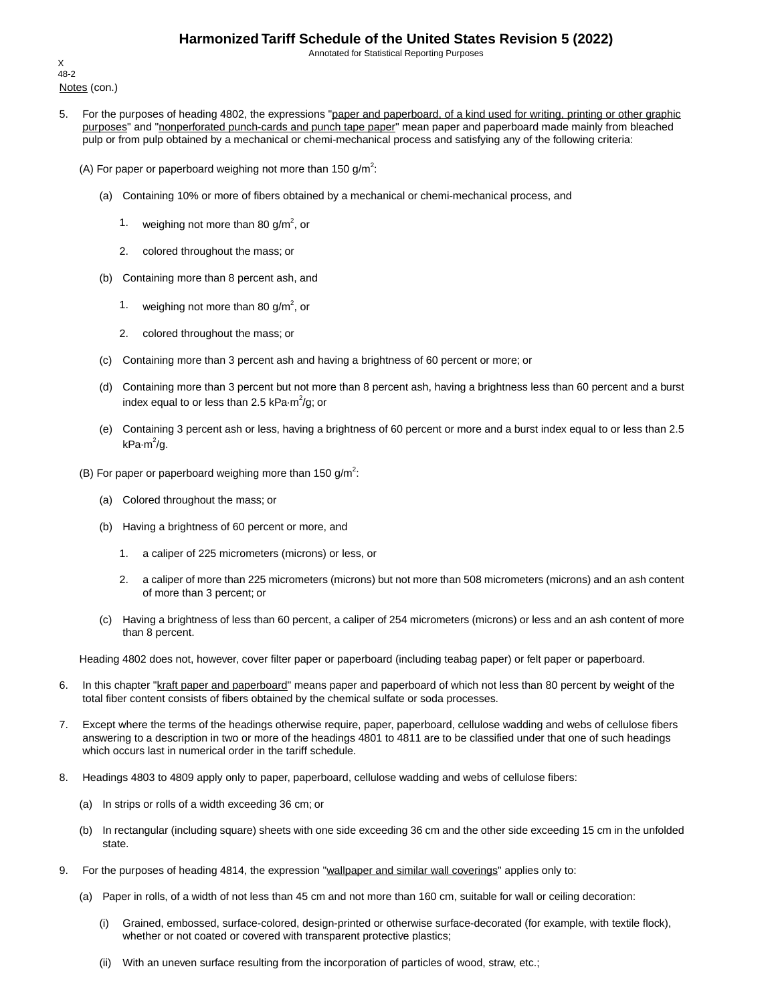Annotated for Statistical Reporting Purposes

Notes (con.) X 48-2

- 5. For the purposes of heading 4802, the expressions "paper and paperboard, of a kind used for writing, printing or other graphic purposes" and "nonperforated punch-cards and punch tape paper" mean paper and paperboard made mainly from bleached pulp or from pulp obtained by a mechanical or chemi-mechanical process and satisfying any of the following criteria:
	- (A) For paper or paperboard weighing not more than 150 g/m<sup>2</sup>:
		- (a) Containing 10% or more of fibers obtained by a mechanical or chemi-mechanical process, and
			- 1. weighing not more than 80 g/m<sup>2</sup>, or
			- 2. colored throughout the mass; or
		- (b) Containing more than 8 percent ash, and
			- 1. weighing not more than 80 g/m<sup>2</sup>, or
			- 2. colored throughout the mass; or
		- (c) Containing more than 3 percent ash and having a brightness of 60 percent or more; or
		- (d) Containing more than 3 percent but not more than 8 percent ash, having a brightness less than 60 percent and a burst index equal to or less than 2.5 kPa $\cdot$ m $^2$ /g; or
		- (e) Containing 3 percent ash or less, having a brightness of 60 percent or more and a burst index equal to or less than 2.5 kPa·m<sup>2</sup>/g.
	- (B) For paper or paperboard weighing more than 150 g/m<sup>2</sup>:
		- (a) Colored throughout the mass; or
		- (b) Having a brightness of 60 percent or more, and
			- 1. a caliper of 225 micrometers (microns) or less, or
			- 2. a caliper of more than 225 micrometers (microns) but not more than 508 micrometers (microns) and an ash content of more than 3 percent; or
		- (c) Having a brightness of less than 60 percent, a caliper of 254 micrometers (microns) or less and an ash content of more than 8 percent.

Heading 4802 does not, however, cover filter paper or paperboard (including teabag paper) or felt paper or paperboard.

- 6. In this chapter "kraft paper and paperboard" means paper and paperboard of which not less than 80 percent by weight of the total fiber content consists of fibers obtained by the chemical sulfate or soda processes.
- 7. Except where the terms of the headings otherwise require, paper, paperboard, cellulose wadding and webs of cellulose fibers answering to a description in two or more of the headings 4801 to 4811 are to be classified under that one of such headings which occurs last in numerical order in the tariff schedule.
- 8. Headings 4803 to 4809 apply only to paper, paperboard, cellulose wadding and webs of cellulose fibers:
	- (a) In strips or rolls of a width exceeding 36 cm; or
	- (b) In rectangular (including square) sheets with one side exceeding 36 cm and the other side exceeding 15 cm in the unfolded state.
- 9. For the purposes of heading 4814, the expression "wallpaper and similar wall coverings" applies only to:
	- (a) Paper in rolls, of a width of not less than 45 cm and not more than 160 cm, suitable for wall or ceiling decoration:
		- (i) Grained, embossed, surface-colored, design-printed or otherwise surface-decorated (for example, with textile flock), whether or not coated or covered with transparent protective plastics;
		- (ii) With an uneven surface resulting from the incorporation of particles of wood, straw, etc.;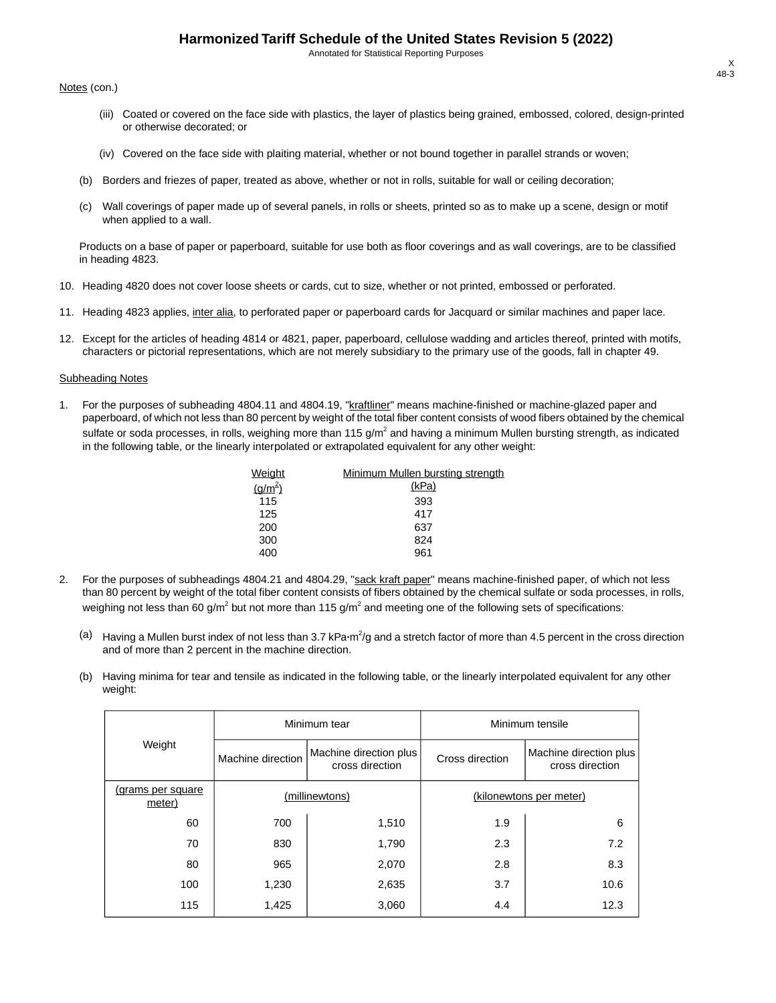Annotated for Statistical Reporting Purposes

Notes (con.)

- (iii) Coated or covered on the face side with plastics, the layer of plastics being grained, embossed, colored, design-printed or otherwise decorated; or
- (iv) Covered on the face side with plaiting material, whether or not bound together in parallel strands or woven;
- (b) Borders and friezes of paper, treated as above, whether or not in rolls, suitable for wall or ceiling decoration;
- (c) Wall coverings of paper made up of several panels, in rolls or sheets, printed so as to make up a scene, design or motif when applied to a wall.

Products on a base of paper or paperboard, suitable for use both as floor coverings and as wall coverings, are to be classified in heading 4823.

- 10. Heading 4820 does not cover loose sheets or cards, cut to size, whether or not printed, embossed or perforated.
- 11. Heading 4823 applies, inter alia, to perforated paper or paperboard cards for Jacquard or similar machines and paper lace.
- 12. Except for the articles of heading 4814 or 4821, paper, paperboard, cellulose wadding and articles thereof, printed with motifs, characters or pictorial representations, which are not merely subsidiary to the primary use of the goods, fall in chapter 49.

#### Subheading Notes

1. For the purposes of subheading 4804.11 and 4804.19, "kraftliner" means machine-finished or machine-glazed paper and paperboard, of which not less than 80 percent by weight of the total fiber content consists of wood fibers obtained by the chemical sulfate or soda processes, in rolls, weighing more than 115 g/m<sup>2</sup> and having a minimum Mullen bursting strength, as indicated in the following table, or the linearly interpolated or extrapolated equivalent for any other weight:

| Weight      | Minimum Mullen bursting strength |
|-------------|----------------------------------|
| $(g/m^{2})$ | (kPa)                            |
| 115         | 393                              |
| 125         | 417                              |
| 200         | 637                              |
| 300         | 824                              |
| 400         | 961                              |
|             |                                  |

- 2. For the purposes of subheadings 4804.21 and 4804.29, "sack kraft paper" means machine-finished paper, of which not less than 80 percent by weight of the total fiber content consists of fibers obtained by the chemical sulfate or soda processes, in rolls, weighing not less than 60 g/m<sup>2</sup> but not more than 115 g/m<sup>2</sup> and meeting one of the following sets of specifications:
	- (a) Having a Mullen burst index of not less than 3.7 kPa·m<sup>2</sup>/g and a stretch factor of more than 4.5 percent in the cross direction and of more than 2 percent in the machine direction.
	- (b) Having minima for tear and tensile as indicated in the following table, or the linearly interpolated equivalent for any other weight:

|                             |                   | Minimum tear                                                 | Minimum tensile         |                                           |  |  |
|-----------------------------|-------------------|--------------------------------------------------------------|-------------------------|-------------------------------------------|--|--|
| Weight                      | Machine direction | Machine direction plus<br>Cross direction<br>cross direction |                         | Machine direction plus<br>cross direction |  |  |
| (grams per square<br>meter) |                   | (millinewtons)                                               | (kilonewtons per meter) |                                           |  |  |
| 60                          | 700               | 1,510                                                        | 1.9                     | 6                                         |  |  |
| 70                          | 830               | 1,790                                                        | 2.3                     | 7.2                                       |  |  |
| 80                          | 965               | 2,070                                                        | 2.8                     | 8.3                                       |  |  |
| 100                         | 1,230             | 2,635                                                        | 3.7                     | 10.6                                      |  |  |
| 115                         | 1,425             | 3,060                                                        | 4.4                     | 12.3                                      |  |  |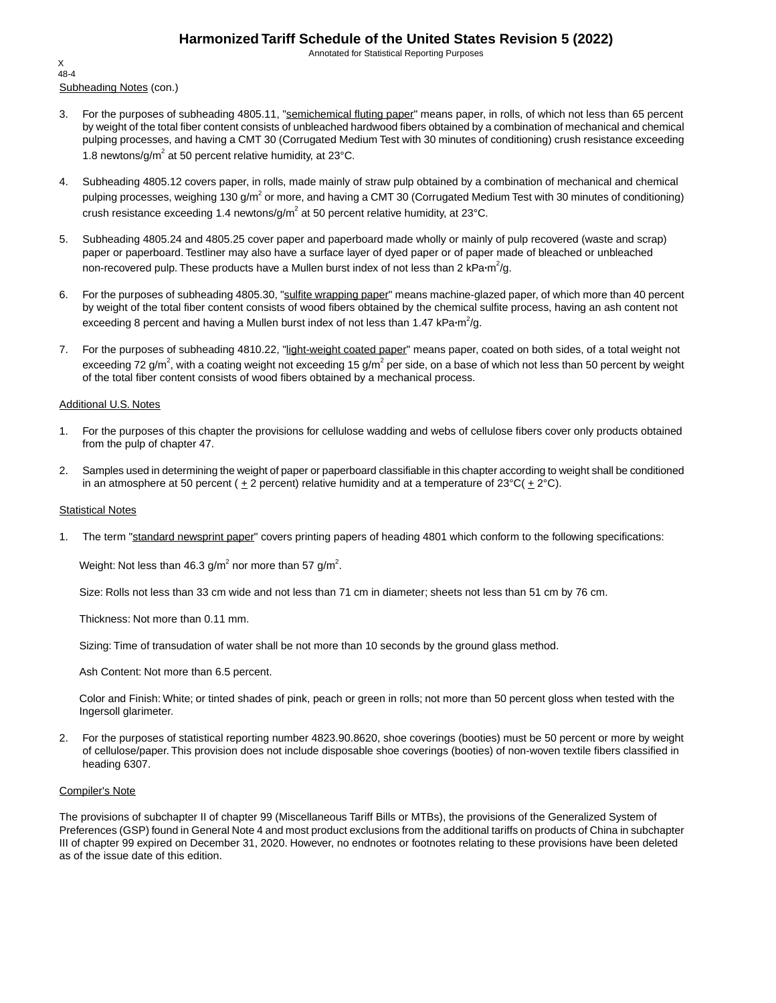Annotated for Statistical Reporting Purposes

Subheading Notes (con.) X 48-4

- 3. For the purposes of subheading 4805.11, "semichemical fluting paper" means paper, in rolls, of which not less than 65 percent by weight of the total fiber content consists of unbleached hardwood fibers obtained by a combination of mechanical and chemical pulping processes, and having a CMT 30 (Corrugated Medium Test with 30 minutes of conditioning) crush resistance exceeding 1.8 newtons/g/m<sup>2</sup> at 50 percent relative humidity, at 23 $^{\circ}$ C.
- 4. Subheading 4805.12 covers paper, in rolls, made mainly of straw pulp obtained by a combination of mechanical and chemical pulping processes, weighing 130 g/m<sup>2</sup> or more, and having a CMT 30 (Corrugated Medium Test with 30 minutes of conditioning) crush resistance exceeding 1.4 newtons/g/m<sup>2</sup> at 50 percent relative humidity, at 23°C.
- 5. Subheading 4805.24 and 4805.25 cover paper and paperboard made wholly or mainly of pulp recovered (waste and scrap) paper or paperboard. Testliner may also have a surface layer of dyed paper or of paper made of bleached or unbleached non-recovered pulp. These products have a Mullen burst index of not less than 2 kPa·m<sup>2</sup>/g.
- 6. For the purposes of subheading 4805.30, "sulfite wrapping paper" means machine-glazed paper, of which more than 40 percent by weight of the total fiber content consists of wood fibers obtained by the chemical sulfite process, having an ash content not exceeding 8 percent and having a Mullen burst index of not less than 1.47 kPa·m<sup>2</sup>/g.
- 7. For the purposes of subheading 4810.22, "light-weight coated paper" means paper, coated on both sides, of a total weight not exceeding 72 g/m<sup>2</sup>, with a coating weight not exceeding 15 g/m<sup>2</sup> per side, on a base of which not less than 50 percent by weight of the total fiber content consists of wood fibers obtained by a mechanical process.

#### Additional U.S. Notes

- 1. For the purposes of this chapter the provisions for cellulose wadding and webs of cellulose fibers cover only products obtained from the pulp of chapter 47.
- 2. Samples used in determining the weight of paper or paperboard classifiable in this chapter according to weight shall be conditioned in an atmosphere at 50 percent ( $\pm 2$  percent) relative humidity and at a temperature of 23°C( $\pm 2$ °C).

#### **Statistical Notes**

1. The term "standard newsprint paper" covers printing papers of heading 4801 which conform to the following specifications:

Weight: Not less than 46.3 g/m $^2$  nor more than 57 g/m $^2$ .

Size: Rolls not less than 33 cm wide and not less than 71 cm in diameter; sheets not less than 51 cm by 76 cm.

Thickness: Not more than 0.11 mm.

Sizing: Time of transudation of water shall be not more than 10 seconds by the ground glass method.

Ash Content: Not more than 6.5 percent.

Color and Finish: White; or tinted shades of pink, peach or green in rolls; not more than 50 percent gloss when tested with the Ingersoll glarimeter.

2. For the purposes of statistical reporting number 4823.90.8620, shoe coverings (booties) must be 50 percent or more by weight of cellulose/paper. This provision does not include disposable shoe coverings (booties) of non-woven textile fibers classified in heading 6307.

#### Compiler's Note

The provisions of subchapter II of chapter 99 (Miscellaneous Tariff Bills or MTBs), the provisions of the Generalized System of Preferences (GSP) found in General Note 4 and most product exclusions from the additional tariffs on products of China in subchapter III of chapter 99 expired on December 31, 2020. However, no endnotes or footnotes relating to these provisions have been deleted as of the issue date of this edition.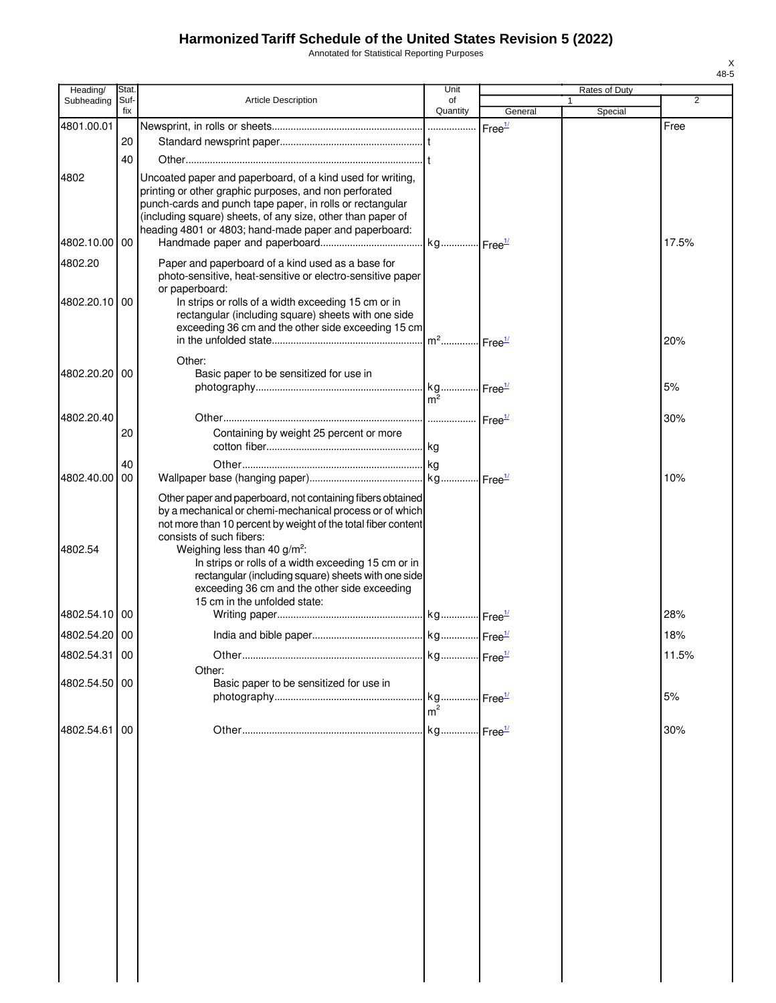Annotated for Statistical Reporting Purposes

| Heading/      | Stat.       |                                                                                                                                                                                                                                                                | Unit           |                    | Rates of Duty |                |
|---------------|-------------|----------------------------------------------------------------------------------------------------------------------------------------------------------------------------------------------------------------------------------------------------------------|----------------|--------------------|---------------|----------------|
| Subheading    | Suf-<br>fix | <b>Article Description</b>                                                                                                                                                                                                                                     | of<br>Quantity | General            | Special       | $\overline{2}$ |
| 4801.00.01    |             |                                                                                                                                                                                                                                                                |                | Free <sup>1/</sup> |               | Free           |
|               | 20          |                                                                                                                                                                                                                                                                |                |                    |               |                |
|               | 40          |                                                                                                                                                                                                                                                                |                |                    |               |                |
|               |             |                                                                                                                                                                                                                                                                |                |                    |               |                |
| 4802          |             | Uncoated paper and paperboard, of a kind used for writing,<br>printing or other graphic purposes, and non perforated<br>punch-cards and punch tape paper, in rolls or rectangular<br>(including square) sheets, of any size, other than paper of               |                |                    |               |                |
| 4802.10.00 00 |             | heading 4801 or 4803; hand-made paper and paperboard:                                                                                                                                                                                                          |                |                    |               | 17.5%          |
|               |             |                                                                                                                                                                                                                                                                |                |                    |               |                |
| 4802.20       |             | Paper and paperboard of a kind used as a base for<br>photo-sensitive, heat-sensitive or electro-sensitive paper<br>or paperboard:                                                                                                                              |                |                    |               |                |
| 4802.20.10 00 |             | In strips or rolls of a width exceeding 15 cm or in<br>rectangular (including square) sheets with one side<br>exceeding 36 cm and the other side exceeding 15 cm                                                                                               |                |                    |               | 20%            |
|               |             | Other:                                                                                                                                                                                                                                                         |                |                    |               |                |
| 4802.20.20    | 00          | Basic paper to be sensitized for use in                                                                                                                                                                                                                        |                |                    |               |                |
|               |             |                                                                                                                                                                                                                                                                | $m^2$          |                    |               | 5%             |
|               |             |                                                                                                                                                                                                                                                                |                |                    |               |                |
| 4802.20.40    |             |                                                                                                                                                                                                                                                                |                |                    |               | 30%            |
|               | 20          | Containing by weight 25 percent or more                                                                                                                                                                                                                        |                |                    |               |                |
| 4802.40.00    | 40<br>00    |                                                                                                                                                                                                                                                                |                |                    |               | 10%            |
|               |             |                                                                                                                                                                                                                                                                |                |                    |               |                |
| 4802.54       |             | Other paper and paperboard, not containing fibers obtained<br>by a mechanical or chemi-mechanical process or of which<br>not more than 10 percent by weight of the total fiber content<br>consists of such fibers:<br>Weighing less than 40 g/m <sup>2</sup> : |                |                    |               |                |
|               |             | In strips or rolls of a width exceeding 15 cm or in<br>rectangular (including square) sheets with one side<br>exceeding 36 cm and the other side exceeding<br>15 cm in the unfolded state:                                                                     |                |                    |               |                |
| 4802.54.10 00 |             |                                                                                                                                                                                                                                                                |                |                    |               | 28%            |
| 4802.54.20 00 |             |                                                                                                                                                                                                                                                                |                |                    |               | 18%            |
| 4802.54.31 00 |             |                                                                                                                                                                                                                                                                |                |                    |               | 11.5%          |
|               |             | Other:                                                                                                                                                                                                                                                         |                |                    |               |                |
| 4802.54.50 00 |             | Basic paper to be sensitized for use in                                                                                                                                                                                                                        |                |                    |               |                |
|               |             |                                                                                                                                                                                                                                                                | m <sup>2</sup> |                    |               | 5%             |
| 4802.54.61    | 00          |                                                                                                                                                                                                                                                                |                |                    |               | 30%            |
|               |             |                                                                                                                                                                                                                                                                |                |                    |               |                |
|               |             |                                                                                                                                                                                                                                                                |                |                    |               |                |
|               |             |                                                                                                                                                                                                                                                                |                |                    |               |                |
|               |             |                                                                                                                                                                                                                                                                |                |                    |               |                |
|               |             |                                                                                                                                                                                                                                                                |                |                    |               |                |
|               |             |                                                                                                                                                                                                                                                                |                |                    |               |                |
|               |             |                                                                                                                                                                                                                                                                |                |                    |               |                |
|               |             |                                                                                                                                                                                                                                                                |                |                    |               |                |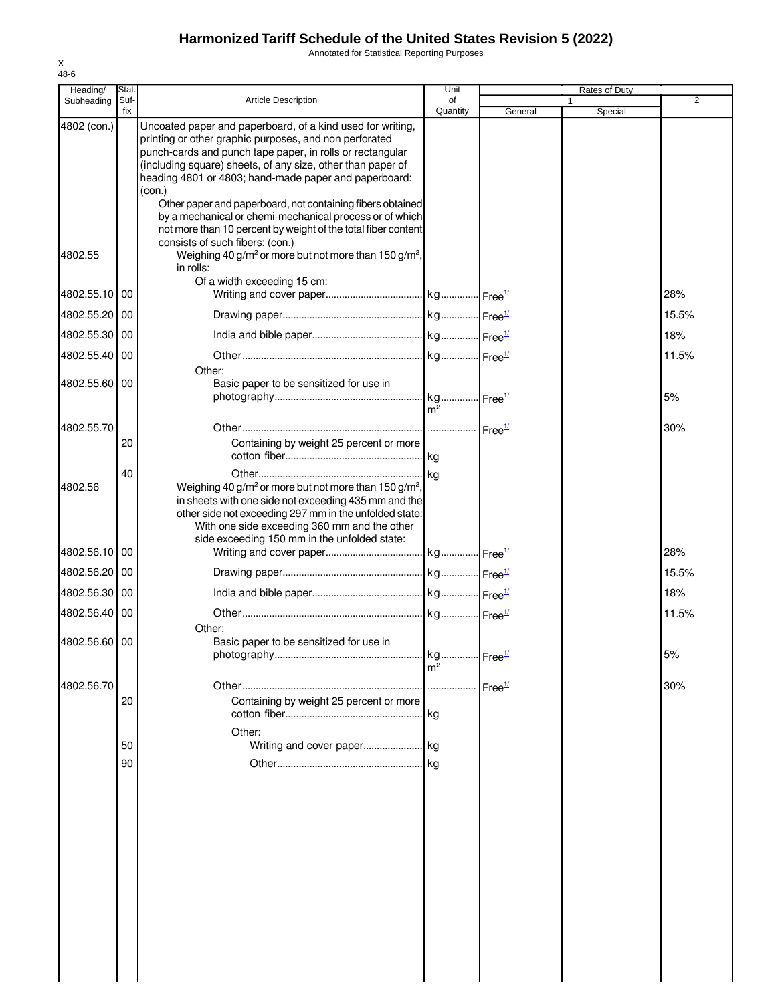Annotated for Statistical Reporting Purposes

| Heading/      | Stat.       |                                                                                                                                                                                                                                                                                                                     | Unit                    |         | Rates of Duty |       |
|---------------|-------------|---------------------------------------------------------------------------------------------------------------------------------------------------------------------------------------------------------------------------------------------------------------------------------------------------------------------|-------------------------|---------|---------------|-------|
| Subheading    | Suf-<br>fix | <b>Article Description</b>                                                                                                                                                                                                                                                                                          | of<br>Quantity          | General | Special       | 2     |
| 4802 (con.)   |             | Uncoated paper and paperboard, of a kind used for writing,<br>printing or other graphic purposes, and non perforated<br>punch-cards and punch tape paper, in rolls or rectangular<br>(including square) sheets, of any size, other than paper of<br>heading 4801 or 4803; hand-made paper and paperboard:<br>(con.) |                         |         |               |       |
| 4802.55       |             | Other paper and paperboard, not containing fibers obtained<br>by a mechanical or chemi-mechanical process or of which<br>not more than 10 percent by weight of the total fiber content<br>consists of such fibers: (con.)<br>Weighing 40 g/m <sup>2</sup> or more but not more than 150 g/m <sup>2</sup> ,          |                         |         |               |       |
|               |             | in rolls:<br>Of a width exceeding 15 cm:                                                                                                                                                                                                                                                                            |                         |         |               |       |
| 4802.55.10 00 |             |                                                                                                                                                                                                                                                                                                                     |                         |         |               | 28%   |
| 4802.55.20    | 00          |                                                                                                                                                                                                                                                                                                                     |                         |         |               | 15.5% |
| 4802.55.30    | 00          |                                                                                                                                                                                                                                                                                                                     |                         |         |               | 18%   |
| 4802.55.40 00 |             |                                                                                                                                                                                                                                                                                                                     |                         |         |               | 11.5% |
| 4802.55.60 00 |             | Other:<br>Basic paper to be sensitized for use in                                                                                                                                                                                                                                                                   | . kg Free <sup>1/</sup> |         |               | 5%    |
|               |             |                                                                                                                                                                                                                                                                                                                     | m <sup>2</sup>          |         |               |       |
| 4802.55.70    |             |                                                                                                                                                                                                                                                                                                                     |                         |         |               | 30%   |
|               | 20          | Containing by weight 25 percent or more                                                                                                                                                                                                                                                                             | lka.                    |         |               |       |
| 4802.56       | 40          | Weighing 40 g/m <sup>2</sup> or more but not more than 150 g/m <sup>2</sup> ,<br>in sheets with one side not exceeding 435 mm and the<br>other side not exceeding 297 mm in the unfolded state:<br>With one side exceeding 360 mm and the other                                                                     |                         |         |               |       |
| 4802.56.10 00 |             | side exceeding 150 mm in the unfolded state:                                                                                                                                                                                                                                                                        |                         |         |               | 28%   |
| 4802.56.20    | 00          |                                                                                                                                                                                                                                                                                                                     |                         |         |               | 15.5% |
| 4802.56.30 00 |             |                                                                                                                                                                                                                                                                                                                     |                         |         |               | 18%   |
| 4802.56.40 00 |             |                                                                                                                                                                                                                                                                                                                     |                         |         |               | 11.5% |
|               |             | Other:                                                                                                                                                                                                                                                                                                              |                         |         |               |       |
| 4802.56.60 00 |             | Basic paper to be sensitized for use in                                                                                                                                                                                                                                                                             | m <sup>2</sup>          |         |               | 5%    |
| 4802.56.70    |             |                                                                                                                                                                                                                                                                                                                     |                         |         |               | 30%   |
|               | 20          | Containing by weight 25 percent or more                                                                                                                                                                                                                                                                             |                         |         |               |       |
|               |             | Other:                                                                                                                                                                                                                                                                                                              |                         |         |               |       |
|               | 50          |                                                                                                                                                                                                                                                                                                                     |                         |         |               |       |
|               | 90          |                                                                                                                                                                                                                                                                                                                     |                         |         |               |       |
|               |             |                                                                                                                                                                                                                                                                                                                     |                         |         |               |       |
|               |             |                                                                                                                                                                                                                                                                                                                     |                         |         |               |       |
|               |             |                                                                                                                                                                                                                                                                                                                     |                         |         |               |       |
|               |             |                                                                                                                                                                                                                                                                                                                     |                         |         |               |       |
|               |             |                                                                                                                                                                                                                                                                                                                     |                         |         |               |       |
|               |             |                                                                                                                                                                                                                                                                                                                     |                         |         |               |       |
|               |             |                                                                                                                                                                                                                                                                                                                     |                         |         |               |       |
|               |             |                                                                                                                                                                                                                                                                                                                     |                         |         |               |       |
|               |             |                                                                                                                                                                                                                                                                                                                     |                         |         |               |       |
|               |             |                                                                                                                                                                                                                                                                                                                     |                         |         |               |       |
|               |             |                                                                                                                                                                                                                                                                                                                     |                         |         |               |       |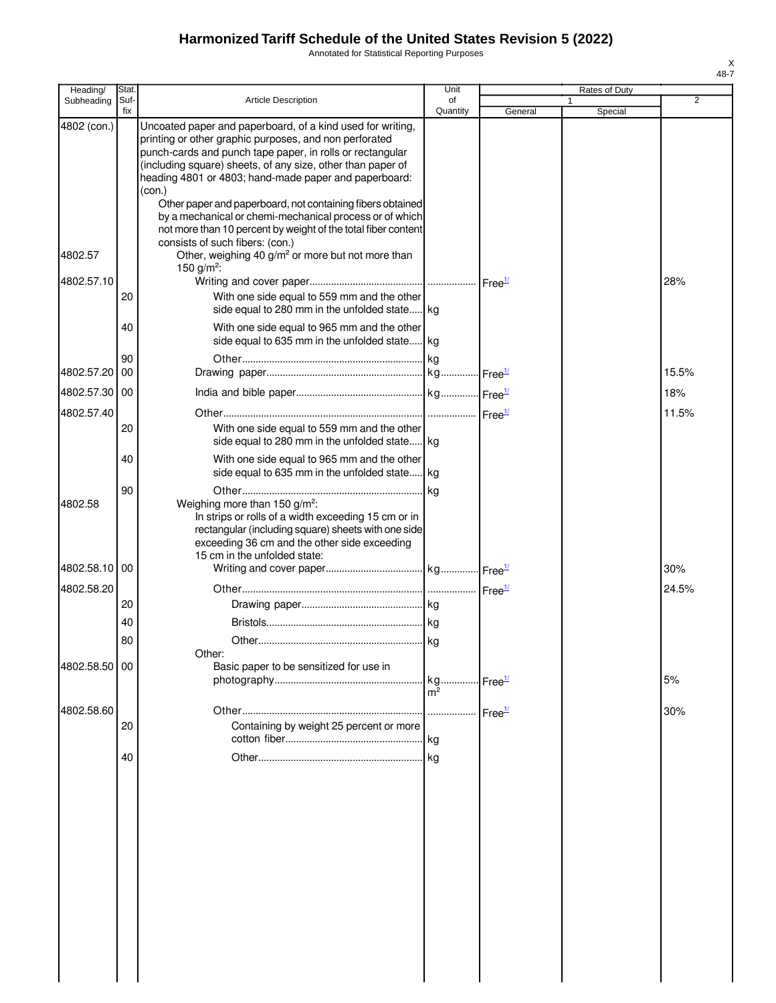Annotated for Statistical Reporting Purposes

| Heading/      | Stat        |                                                                                                                                                                                                                                                                                                                     | Unit                 |                    | Rates of Duty |                |
|---------------|-------------|---------------------------------------------------------------------------------------------------------------------------------------------------------------------------------------------------------------------------------------------------------------------------------------------------------------------|----------------------|--------------------|---------------|----------------|
| Subheading    | Suf-<br>fix | <b>Article Description</b>                                                                                                                                                                                                                                                                                          | of<br>Quantity       | General            | Special       | $\overline{2}$ |
| 4802 (con.)   |             | Uncoated paper and paperboard, of a kind used for writing,<br>printing or other graphic purposes, and non perforated<br>punch-cards and punch tape paper, in rolls or rectangular<br>(including square) sheets, of any size, other than paper of<br>heading 4801 or 4803; hand-made paper and paperboard:<br>(con.) |                      |                    |               |                |
| 4802.57       |             | Other paper and paperboard, not containing fibers obtained<br>by a mechanical or chemi-mechanical process or of which<br>not more than 10 percent by weight of the total fiber content<br>consists of such fibers: (con.)<br>Other, weighing 40 g/m <sup>2</sup> or more but not more than                          |                      |                    |               |                |
| 4802.57.10    |             | 150 g/m <sup>2</sup> :                                                                                                                                                                                                                                                                                              |                      |                    |               | 28%            |
|               | 20          | With one side equal to 559 mm and the other<br>side equal to 280 mm in the unfolded state kg                                                                                                                                                                                                                        |                      |                    |               |                |
|               | 40          | With one side equal to 965 mm and the other<br>side equal to 635 mm in the unfolded state kg                                                                                                                                                                                                                        |                      |                    |               |                |
| 4802.57.20    | 90<br>00    |                                                                                                                                                                                                                                                                                                                     |                      |                    |               | 15.5%          |
| 4802.57.30 00 |             |                                                                                                                                                                                                                                                                                                                     |                      |                    |               | 18%            |
| 4802.57.40    | 20          | With one side equal to 559 mm and the other<br>side equal to 280 mm in the unfolded state kg                                                                                                                                                                                                                        |                      |                    |               | 11.5%          |
|               | 40          | With one side equal to 965 mm and the other<br>side equal to 635 mm in the unfolded state kg                                                                                                                                                                                                                        |                      |                    |               |                |
| 4802.58       | 90          | Weighing more than 150 g/m <sup>2</sup> :<br>In strips or rolls of a width exceeding 15 cm or in<br>rectangular (including square) sheets with one side<br>exceeding 36 cm and the other side exceeding                                                                                                             | . kg                 |                    |               |                |
| 4802.58.10    | 00          | 15 cm in the unfolded state:                                                                                                                                                                                                                                                                                        |                      |                    |               | 30%            |
| 4802.58.20    | 20          |                                                                                                                                                                                                                                                                                                                     |                      |                    |               | 24.5%          |
|               | 40          |                                                                                                                                                                                                                                                                                                                     |                      |                    |               |                |
|               | 80          |                                                                                                                                                                                                                                                                                                                     |                      |                    |               |                |
| 4802.58.50 00 |             | Other:<br>Basic paper to be sensitized for use in                                                                                                                                                                                                                                                                   | kg<br>m <sup>2</sup> | Free <sup>1/</sup> |               | 5%             |
| 4802.58.60    |             |                                                                                                                                                                                                                                                                                                                     |                      | Free <sup>1/</sup> |               | 30%            |
|               | 20          | Containing by weight 25 percent or more                                                                                                                                                                                                                                                                             |                      |                    |               |                |
|               | 40          |                                                                                                                                                                                                                                                                                                                     |                      |                    |               |                |
|               |             |                                                                                                                                                                                                                                                                                                                     |                      |                    |               |                |
|               |             |                                                                                                                                                                                                                                                                                                                     |                      |                    |               |                |
|               |             |                                                                                                                                                                                                                                                                                                                     |                      |                    |               |                |
|               |             |                                                                                                                                                                                                                                                                                                                     |                      |                    |               |                |
|               |             |                                                                                                                                                                                                                                                                                                                     |                      |                    |               |                |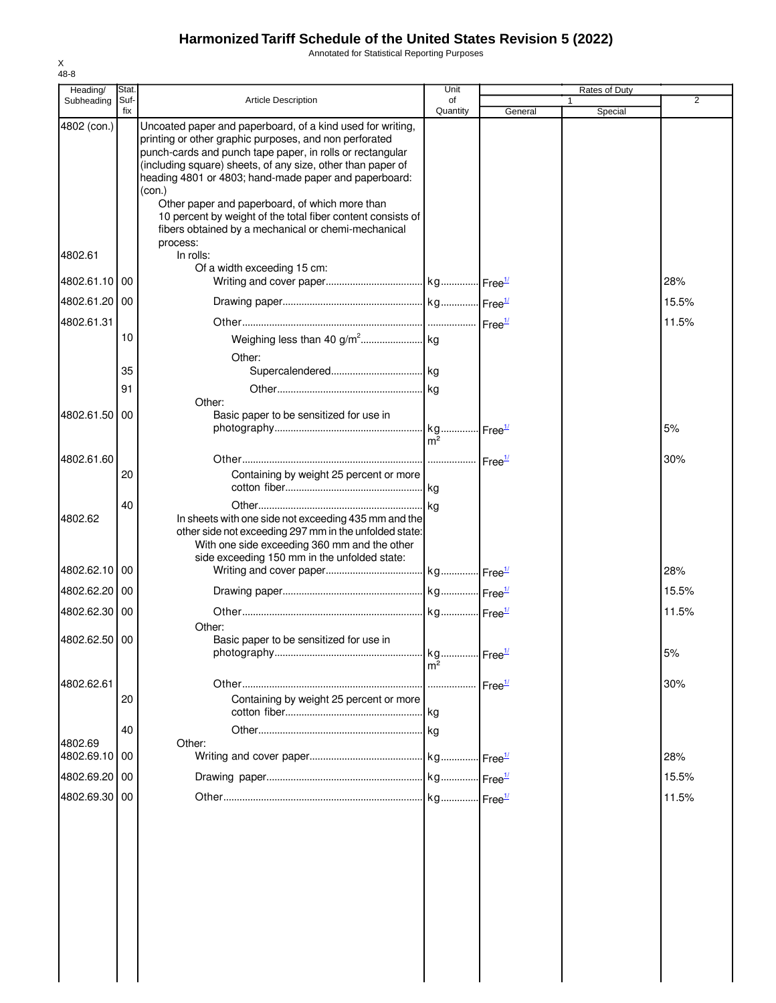Annotated for Statistical Reporting Purposes

| Heading/                 | <b>Stat</b> |                                                                                                                                                                                                                | Unit           |         | Rates of Duty |       |
|--------------------------|-------------|----------------------------------------------------------------------------------------------------------------------------------------------------------------------------------------------------------------|----------------|---------|---------------|-------|
| Subheading               | Suf-<br>fix | <b>Article Description</b>                                                                                                                                                                                     | of<br>Quantity | General | Special       | 2     |
| 4802 (con.)              |             | Uncoated paper and paperboard, of a kind used for writing,<br>printing or other graphic purposes, and non perforated<br>punch-cards and punch tape paper, in rolls or rectangular                              |                |         |               |       |
|                          |             | (including square) sheets, of any size, other than paper of<br>heading 4801 or 4803; hand-made paper and paperboard:<br>(con.)                                                                                 |                |         |               |       |
|                          |             | Other paper and paperboard, of which more than<br>10 percent by weight of the total fiber content consists of<br>fibers obtained by a mechanical or chemi-mechanical<br>process:                               |                |         |               |       |
| 4802.61                  |             | In rolls:<br>Of a width exceeding 15 cm:                                                                                                                                                                       |                |         |               |       |
| 4802.61.10               | 00          |                                                                                                                                                                                                                |                |         |               | 28%   |
| 4802.61.20 00            |             |                                                                                                                                                                                                                |                |         |               | 15.5% |
| 4802.61.31               |             |                                                                                                                                                                                                                |                |         |               | 11.5% |
|                          | 10          | Other:                                                                                                                                                                                                         |                |         |               |       |
|                          | 35          |                                                                                                                                                                                                                |                |         |               |       |
|                          | 91          |                                                                                                                                                                                                                |                |         |               |       |
|                          |             | Other:                                                                                                                                                                                                         |                |         |               |       |
| 4802.61.50               | 00          | Basic paper to be sensitized for use in                                                                                                                                                                        | m <sup>2</sup> |         |               | 5%    |
| 4802.61.60               |             |                                                                                                                                                                                                                |                |         |               | 30%   |
|                          | 20          | Containing by weight 25 percent or more                                                                                                                                                                        |                |         |               |       |
|                          | 40          |                                                                                                                                                                                                                |                |         |               |       |
| 4802.62                  |             | In sheets with one side not exceeding 435 mm and the<br>other side not exceeding 297 mm in the unfolded state:<br>With one side exceeding 360 mm and the other<br>side exceeding 150 mm in the unfolded state: |                |         |               |       |
| 4802.62.10               | 00          |                                                                                                                                                                                                                |                |         |               | 28%   |
| 4802.62.20 00            |             |                                                                                                                                                                                                                |                |         |               | 15.5% |
| 4802.62.30 00            |             |                                                                                                                                                                                                                |                |         |               | 11.5% |
|                          |             | Other:                                                                                                                                                                                                         |                |         |               |       |
| 4802.62.50 00            |             | Basic paper to be sensitized for use in                                                                                                                                                                        | m <sup>2</sup> |         |               | 5%    |
| 4802.62.61               |             |                                                                                                                                                                                                                |                |         |               | 30%   |
|                          | 20          | Containing by weight 25 percent or more                                                                                                                                                                        |                |         |               |       |
|                          | 40          |                                                                                                                                                                                                                |                |         |               |       |
| 4802.69<br>4802.69.10 00 |             | Other:                                                                                                                                                                                                         |                |         |               | 28%   |
|                          |             |                                                                                                                                                                                                                |                |         |               |       |
| 4802.69.20 00            |             |                                                                                                                                                                                                                |                |         |               | 15.5% |
| 4802.69.30 00            |             |                                                                                                                                                                                                                |                |         |               | 11.5% |
|                          |             |                                                                                                                                                                                                                |                |         |               |       |
|                          |             |                                                                                                                                                                                                                |                |         |               |       |
|                          |             |                                                                                                                                                                                                                |                |         |               |       |
|                          |             |                                                                                                                                                                                                                |                |         |               |       |
|                          |             |                                                                                                                                                                                                                |                |         |               |       |
|                          |             |                                                                                                                                                                                                                |                |         |               |       |
|                          |             |                                                                                                                                                                                                                |                |         |               |       |
|                          |             |                                                                                                                                                                                                                |                |         |               |       |
|                          |             |                                                                                                                                                                                                                |                |         |               |       |
|                          |             |                                                                                                                                                                                                                |                |         |               |       |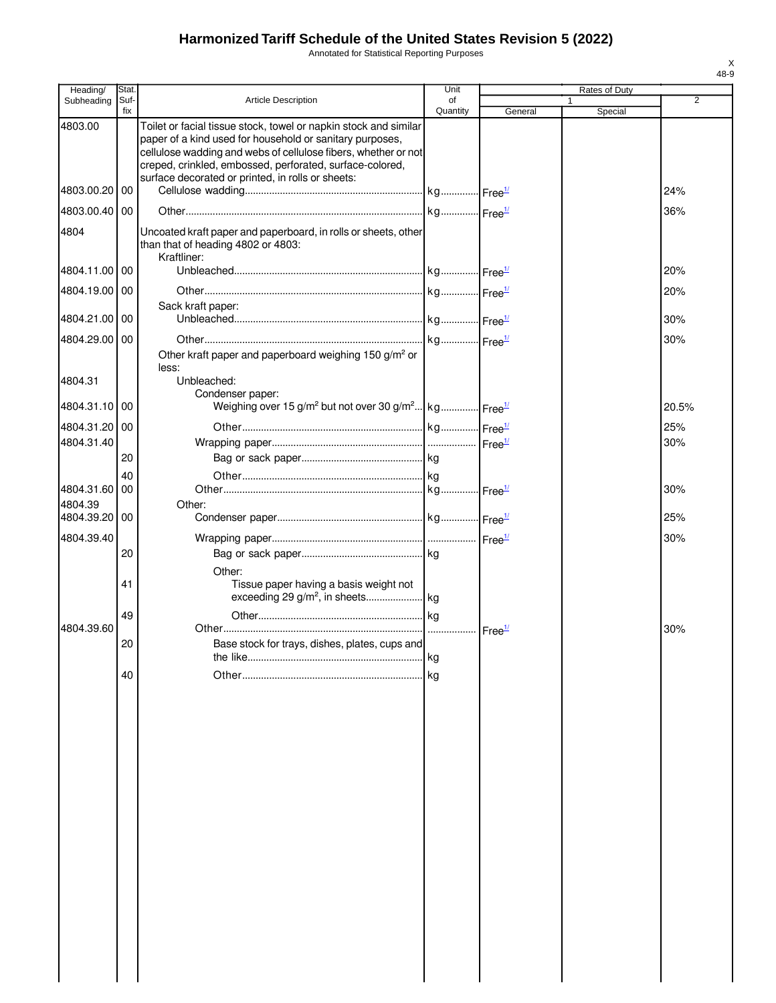Annotated for Statistical Reporting Purposes

| Heading/                 | Stat.       |                                                                                                                                                                                                                                                                                                                 | Unit           |                    |             | Rates of Duty |       |
|--------------------------|-------------|-----------------------------------------------------------------------------------------------------------------------------------------------------------------------------------------------------------------------------------------------------------------------------------------------------------------|----------------|--------------------|-------------|---------------|-------|
| Subheading               | Suf-<br>fix | Article Description                                                                                                                                                                                                                                                                                             | of<br>Quantity | General            | $\mathbf 1$ | Special       | 2     |
| 4803.00                  |             | Toilet or facial tissue stock, towel or napkin stock and similar<br>paper of a kind used for household or sanitary purposes,<br>cellulose wadding and webs of cellulose fibers, whether or not<br>creped, crinkled, embossed, perforated, surface-colored,<br>surface decorated or printed, in rolls or sheets: |                |                    |             |               |       |
| 4803.00.20 00            |             |                                                                                                                                                                                                                                                                                                                 |                |                    |             |               | 24%   |
| 4803.00.40 00            |             |                                                                                                                                                                                                                                                                                                                 |                |                    |             |               | 36%   |
| 4804                     |             | Uncoated kraft paper and paperboard, in rolls or sheets, other<br>than that of heading 4802 or 4803:<br>Kraftliner:                                                                                                                                                                                             |                |                    |             |               |       |
| 4804.11.00 00            |             |                                                                                                                                                                                                                                                                                                                 |                |                    |             |               | 20%   |
| 4804.19.00 00            |             |                                                                                                                                                                                                                                                                                                                 |                |                    |             |               | 20%   |
| 4804.21.00 00            |             | Sack kraft paper:                                                                                                                                                                                                                                                                                               |                |                    |             |               | 30%   |
| 4804.29.00 00            |             |                                                                                                                                                                                                                                                                                                                 |                |                    |             |               | 30%   |
| 4804.31                  |             | Other kraft paper and paperboard weighing 150 g/m <sup>2</sup> or<br>less:<br>Unbleached:<br>Condenser paper:                                                                                                                                                                                                   |                |                    |             |               |       |
| 4804.31.10 00            |             | Weighing over 15 g/m <sup>2</sup> but not over 30 g/m <sup>2</sup> kg Free <sup>1/</sup>                                                                                                                                                                                                                        |                |                    |             |               | 20.5% |
| 4804.31.20 00            |             |                                                                                                                                                                                                                                                                                                                 |                |                    |             |               | 25%   |
| 4804.31.40               |             |                                                                                                                                                                                                                                                                                                                 |                |                    |             |               | 30%   |
|                          | 20          |                                                                                                                                                                                                                                                                                                                 |                |                    |             |               |       |
|                          | 40          |                                                                                                                                                                                                                                                                                                                 |                |                    |             |               |       |
| 4804.31.60 00            |             |                                                                                                                                                                                                                                                                                                                 |                |                    |             |               | 30%   |
| 4804.39<br>4804.39.20 00 |             | Other:                                                                                                                                                                                                                                                                                                          |                |                    |             |               | 25%   |
| 4804.39.40               |             |                                                                                                                                                                                                                                                                                                                 |                |                    |             |               | 30%   |
|                          | 20          |                                                                                                                                                                                                                                                                                                                 |                |                    |             |               |       |
|                          |             | Other:                                                                                                                                                                                                                                                                                                          |                |                    |             |               |       |
|                          | 41          | Tissue paper having a basis weight not                                                                                                                                                                                                                                                                          |                |                    |             |               |       |
|                          | 49          |                                                                                                                                                                                                                                                                                                                 |                |                    |             |               |       |
| 4804.39.60               | 20          | Base stock for trays, dishes, plates, cups and                                                                                                                                                                                                                                                                  | kg             | Free <sup>1/</sup> |             |               | 30%   |
|                          | 40          |                                                                                                                                                                                                                                                                                                                 |                |                    |             |               |       |
|                          |             |                                                                                                                                                                                                                                                                                                                 | kg             |                    |             |               |       |
|                          |             |                                                                                                                                                                                                                                                                                                                 |                |                    |             |               |       |
|                          |             |                                                                                                                                                                                                                                                                                                                 |                |                    |             |               |       |
|                          |             |                                                                                                                                                                                                                                                                                                                 |                |                    |             |               |       |
|                          |             |                                                                                                                                                                                                                                                                                                                 |                |                    |             |               |       |
|                          |             |                                                                                                                                                                                                                                                                                                                 |                |                    |             |               |       |
|                          |             |                                                                                                                                                                                                                                                                                                                 |                |                    |             |               |       |
|                          |             |                                                                                                                                                                                                                                                                                                                 |                |                    |             |               |       |
|                          |             |                                                                                                                                                                                                                                                                                                                 |                |                    |             |               |       |
|                          |             |                                                                                                                                                                                                                                                                                                                 |                |                    |             |               |       |
|                          |             |                                                                                                                                                                                                                                                                                                                 |                |                    |             |               |       |
|                          |             |                                                                                                                                                                                                                                                                                                                 |                |                    |             |               |       |
|                          |             |                                                                                                                                                                                                                                                                                                                 |                |                    |             |               |       |
|                          |             |                                                                                                                                                                                                                                                                                                                 |                |                    |             |               |       |
|                          |             |                                                                                                                                                                                                                                                                                                                 |                |                    |             |               |       |
|                          |             |                                                                                                                                                                                                                                                                                                                 |                |                    |             |               |       |
|                          |             |                                                                                                                                                                                                                                                                                                                 |                |                    |             |               |       |
|                          |             |                                                                                                                                                                                                                                                                                                                 |                |                    |             |               |       |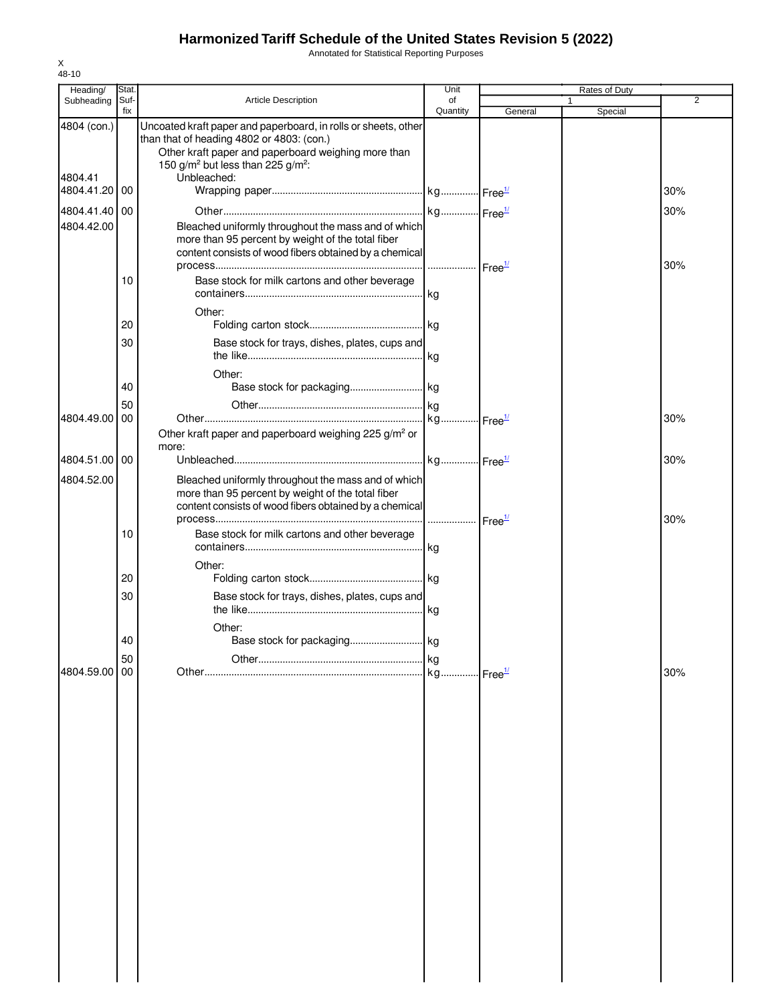Annotated for Statistical Reporting Purposes

| Heading/              | <b>Stat</b> |                                                                                                                                                                                                                                 | Unit                        |         | Rates of Duty |                |
|-----------------------|-------------|---------------------------------------------------------------------------------------------------------------------------------------------------------------------------------------------------------------------------------|-----------------------------|---------|---------------|----------------|
| Subheading            | Suf-<br>fix | Article Description                                                                                                                                                                                                             | of<br>Quantity              | General | Special       | $\overline{2}$ |
| 4804 (con.)           |             | Uncoated kraft paper and paperboard, in rolls or sheets, other<br>than that of heading 4802 or 4803: (con.)<br>Other kraft paper and paperboard weighing more than<br>150 g/m <sup>2</sup> but less than 225 g/m <sup>2</sup> : |                             |         |               |                |
| 4804.41<br>4804.41.20 | 00          | Unbleached:                                                                                                                                                                                                                     |                             |         |               | 30%            |
| 4804.41.40 00         |             |                                                                                                                                                                                                                                 |                             |         |               | 30%            |
| 4804.42.00            |             | Bleached uniformly throughout the mass and of which<br>more than 95 percent by weight of the total fiber<br>content consists of wood fibers obtained by a chemical                                                              |                             |         |               | 30%            |
|                       | 10          | Base stock for milk cartons and other beverage                                                                                                                                                                                  |                             |         |               |                |
|                       | 20          | Other:                                                                                                                                                                                                                          |                             |         |               |                |
|                       | 30          | Base stock for trays, dishes, plates, cups and                                                                                                                                                                                  |                             |         |               |                |
|                       |             | Other:                                                                                                                                                                                                                          |                             |         |               |                |
|                       | 40          |                                                                                                                                                                                                                                 |                             |         |               |                |
| 4804.49.00            | 50<br>00    |                                                                                                                                                                                                                                 |                             |         |               | 30%            |
|                       |             | Other kraft paper and paperboard weighing 225 g/m <sup>2</sup> or<br>more:                                                                                                                                                      |                             |         |               |                |
| 4804.51.00            | 00          |                                                                                                                                                                                                                                 |                             |         |               | 30%            |
| 4804.52.00            |             | Bleached uniformly throughout the mass and of which<br>more than 95 percent by weight of the total fiber<br>content consists of wood fibers obtained by a chemical                                                              |                             |         |               | 30%            |
|                       | 10          | Base stock for milk cartons and other beverage                                                                                                                                                                                  |                             |         |               |                |
|                       | 20          | Other:                                                                                                                                                                                                                          |                             |         |               |                |
|                       | 30          | Base stock for trays, dishes, plates, cups and                                                                                                                                                                                  |                             |         |               |                |
|                       |             |                                                                                                                                                                                                                                 | kg                          |         |               |                |
|                       | 40          | Other:<br>Base stock for packaging kg                                                                                                                                                                                           |                             |         |               |                |
| 4804.59.00            | 50<br>00    |                                                                                                                                                                                                                                 | kg<br>kg Free <sup>1/</sup> |         |               | 30%            |
|                       |             |                                                                                                                                                                                                                                 |                             |         |               |                |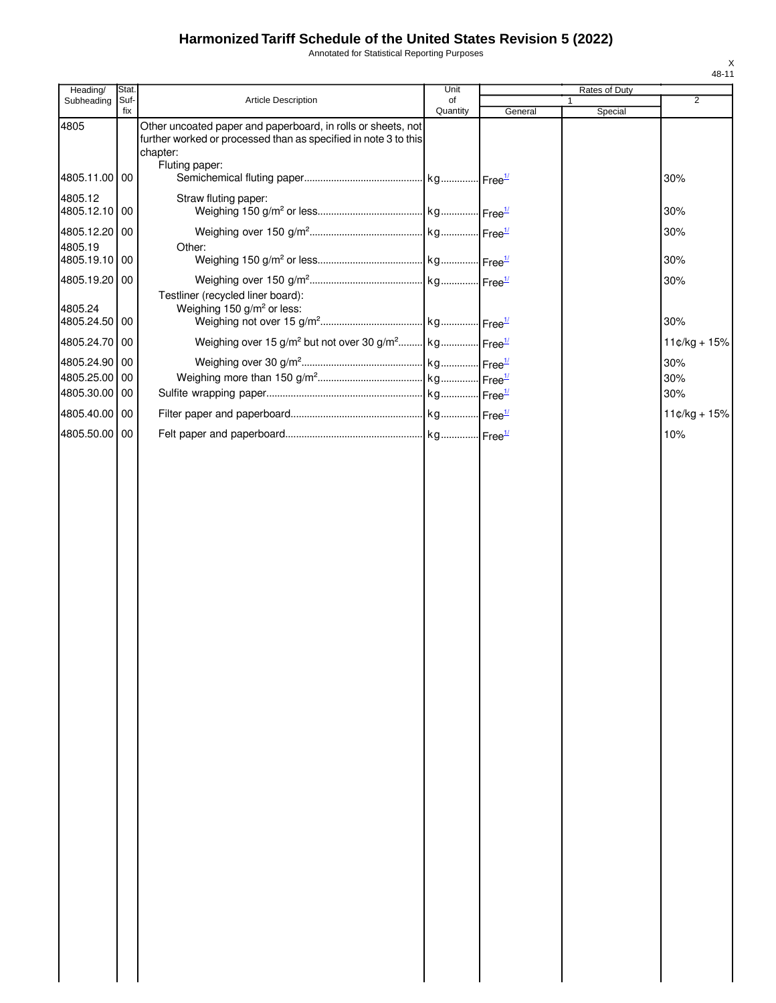Annotated for Statistical Reporting Purposes

| Heading/                 | Stat.       |                                                                                                                                             | Unit           |         | Rates of Duty           |                |
|--------------------------|-------------|---------------------------------------------------------------------------------------------------------------------------------------------|----------------|---------|-------------------------|----------------|
| Subheading               | Suf-<br>fix | Article Description                                                                                                                         | of<br>Quantity | General | $\mathbf{1}$<br>Special | 2              |
| 4805                     |             | Other uncoated paper and paperboard, in rolls or sheets, not<br>further worked or processed than as specified in note 3 to this<br>chapter: |                |         |                         |                |
| 4805.11.00 00            |             | Fluting paper:                                                                                                                              |                |         |                         | 30%            |
| 4805.12<br>4805.12.10 00 |             | Straw fluting paper:                                                                                                                        |                |         |                         | 30%            |
| 4805.12.20 00            |             |                                                                                                                                             |                |         |                         | 30%            |
| 4805.19<br>4805.19.10 00 |             | Other:                                                                                                                                      |                |         |                         | 30%            |
| 4805.19.20 00            |             |                                                                                                                                             |                |         |                         | 30%            |
| 4805.24<br>4805.24.50 00 |             | Testliner (recycled liner board):<br>Weighing 150 g/m <sup>2</sup> or less:                                                                 |                |         |                         | 30%            |
| 4805.24.70 00            |             | Weighing over 15 g/m <sup>2</sup> but not over 30 g/m <sup>2</sup> kg Free <sup>1/</sup>                                                    |                |         |                         | $11¢/kg + 15%$ |
| 4805.24.90 00            |             |                                                                                                                                             |                |         |                         | 30%            |
| 4805.25.00               | 00          |                                                                                                                                             |                |         |                         | 30%            |
| 4805.30.00 00            |             |                                                                                                                                             |                |         |                         | 30%            |
| 4805.40.00 00            |             |                                                                                                                                             |                |         |                         | $11¢/kg + 15%$ |
| 4805.50.00 00            |             |                                                                                                                                             |                |         |                         | 10%            |
|                          |             |                                                                                                                                             |                |         |                         |                |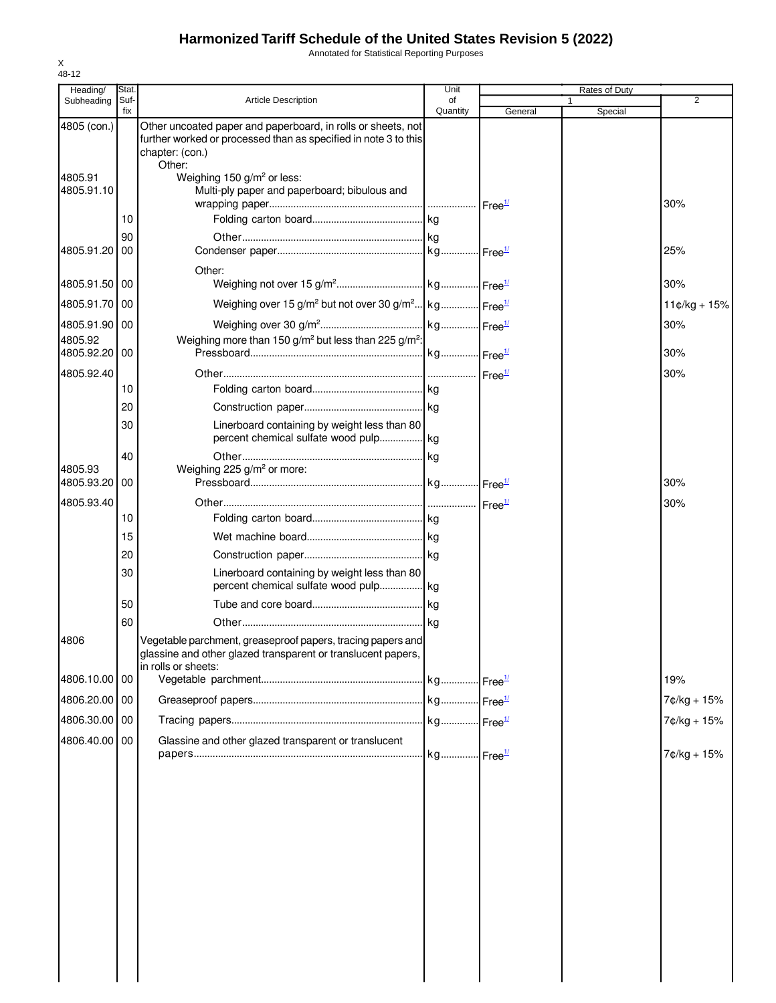Annotated for Statistical Reporting Purposes

| Heading/              | Stat.       |                                                                                                                                                              | Unit           |         | Rates of Duty |                |
|-----------------------|-------------|--------------------------------------------------------------------------------------------------------------------------------------------------------------|----------------|---------|---------------|----------------|
| Subheading            | Suf-<br>fix | <b>Article Description</b>                                                                                                                                   | of<br>Quantity | General | 1<br>Special  | $\overline{2}$ |
| 4805 (con.)           |             | Other uncoated paper and paperboard, in rolls or sheets, not<br>further worked or processed than as specified in note 3 to this<br>chapter: (con.)<br>Other: |                |         |               |                |
| 4805.91<br>4805.91.10 |             | Weighing 150 g/m <sup>2</sup> or less:<br>Multi-ply paper and paperboard; bibulous and                                                                       |                |         |               | 30%            |
|                       | 10          |                                                                                                                                                              |                |         |               |                |
|                       | 90          |                                                                                                                                                              |                |         |               |                |
| 4805.91.20            | 00          |                                                                                                                                                              |                |         |               | 25%            |
| 4805.91.50 00         |             | Other:                                                                                                                                                       |                |         |               | 30%            |
| 4805.91.70 00         |             | Weighing over 15 g/m <sup>2</sup> but not over 30 g/m <sup>2</sup> kg Free <sup>1/</sup>                                                                     |                |         |               | $11¢/kg + 15%$ |
| 4805.91.90 00         |             |                                                                                                                                                              |                |         |               | 30%            |
| 4805.92               |             | Weighing more than 150 g/m <sup>2</sup> but less than 225 g/m <sup>2</sup> :                                                                                 |                |         |               |                |
| 4805.92.20 00         |             |                                                                                                                                                              |                |         |               | 30%            |
| 4805.92.40            |             |                                                                                                                                                              |                |         |               | 30%            |
|                       | 10          |                                                                                                                                                              |                |         |               |                |
|                       | 20          |                                                                                                                                                              |                |         |               |                |
|                       | 30          | Linerboard containing by weight less than 80                                                                                                                 |                |         |               |                |
|                       | 40          |                                                                                                                                                              |                |         |               |                |
| 4805.93<br>4805.93.20 | 00          | Weighing 225 g/m <sup>2</sup> or more:                                                                                                                       |                |         |               | 30%            |
| 4805.93.40            |             |                                                                                                                                                              |                |         |               | 30%            |
|                       | 10          |                                                                                                                                                              |                |         |               |                |
|                       | 15          |                                                                                                                                                              |                |         |               |                |
|                       | 20          |                                                                                                                                                              |                |         |               |                |
|                       | 30          | Linerboard containing by weight less than 80                                                                                                                 |                |         |               |                |
|                       | 50          |                                                                                                                                                              |                |         |               |                |
|                       | 60          |                                                                                                                                                              |                |         |               |                |
| 4806                  |             | Vegetable parchment, greaseproof papers, tracing papers and<br>glassine and other glazed transparent or translucent papers,<br>in rolls or sheets:           |                |         |               |                |
| 4806.10.00 00         |             |                                                                                                                                                              |                |         |               | 19%            |
| 4806.20.00 00         |             |                                                                                                                                                              |                |         |               | 7¢/kg + 15%    |
| 4806.30.00 00         |             |                                                                                                                                                              |                |         |               | 7¢/kg + 15%    |
| 4806.40.00 00         |             | Glassine and other glazed transparent or translucent                                                                                                         |                |         |               | 7¢/kg + 15%    |
|                       |             |                                                                                                                                                              |                |         |               |                |
|                       |             |                                                                                                                                                              |                |         |               |                |
|                       |             |                                                                                                                                                              |                |         |               |                |
|                       |             |                                                                                                                                                              |                |         |               |                |
|                       |             |                                                                                                                                                              |                |         |               |                |
|                       |             |                                                                                                                                                              |                |         |               |                |
|                       |             |                                                                                                                                                              |                |         |               |                |
|                       |             |                                                                                                                                                              |                |         |               |                |
|                       |             |                                                                                                                                                              |                |         |               |                |
|                       |             |                                                                                                                                                              |                |         |               |                |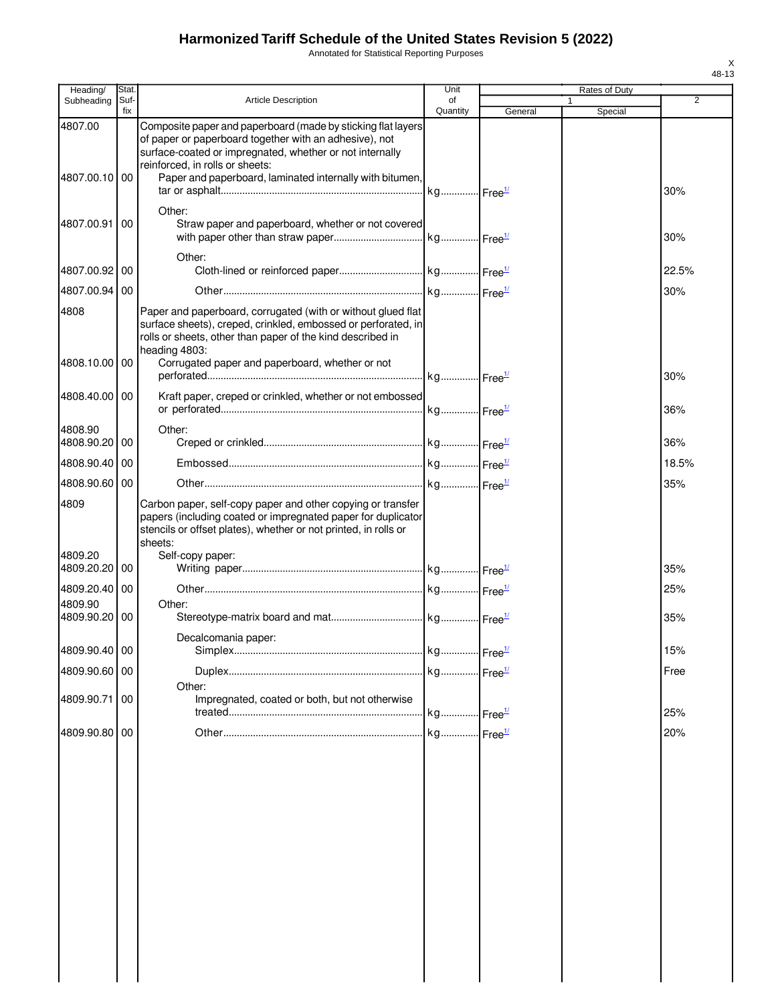Annotated for Statistical Reporting Purposes

| Heading/                 | Stat.       |                                                                                                                                                                                                                               | Unit           |         |   | Rates of Duty |                |
|--------------------------|-------------|-------------------------------------------------------------------------------------------------------------------------------------------------------------------------------------------------------------------------------|----------------|---------|---|---------------|----------------|
| Subheading               | Suf-<br>fix | <b>Article Description</b>                                                                                                                                                                                                    | of<br>Quantity | General | 1 | Special       | $\overline{2}$ |
| 4807.00                  |             | Composite paper and paperboard (made by sticking flat layers<br>of paper or paperboard together with an adhesive), not<br>surface-coated or impregnated, whether or not internally<br>reinforced, in rolls or sheets:         |                |         |   |               |                |
| 4807.00.10 00            |             | Paper and paperboard, laminated internally with bitumen,                                                                                                                                                                      |                |         |   |               | 30%            |
| 4807.00.91               | 00          | Other:<br>Straw paper and paperboard, whether or not covered                                                                                                                                                                  |                |         |   |               | 30%            |
| 4807.00.92 00            |             | Other:                                                                                                                                                                                                                        |                |         |   |               | 22.5%          |
| 4807.00.94               | 00          |                                                                                                                                                                                                                               |                |         |   |               | 30%            |
| 4808                     |             | Paper and paperboard, corrugated (with or without glued flat<br>surface sheets), creped, crinkled, embossed or perforated, in<br>rolls or sheets, other than paper of the kind described in<br>heading 4803:                  |                |         |   |               |                |
| 4808.10.00 00            |             | Corrugated paper and paperboard, whether or not                                                                                                                                                                               |                |         |   |               | 30%            |
| 4808.40.00 00            |             | Kraft paper, creped or crinkled, whether or not embossed                                                                                                                                                                      |                |         |   |               | 36%            |
| 4808.90                  |             | Other:                                                                                                                                                                                                                        |                |         |   |               |                |
| 4808.90.20 00            |             |                                                                                                                                                                                                                               |                |         |   |               | 36%            |
| 4808.90.40               | 00          |                                                                                                                                                                                                                               |                |         |   |               | 18.5%          |
| 4808.90.60 00            |             |                                                                                                                                                                                                                               |                |         |   |               | 35%            |
| 4809<br>4809.20          |             | Carbon paper, self-copy paper and other copying or transfer<br>papers (including coated or impregnated paper for duplicator<br>stencils or offset plates), whether or not printed, in rolls or<br>sheets:<br>Self-copy paper: |                |         |   |               |                |
| 4809.20.20               | 00          |                                                                                                                                                                                                                               |                |         |   |               | 35%            |
| 4809.20.40 00<br>4809.90 |             | Other:                                                                                                                                                                                                                        |                |         |   |               | 25%            |
| 4809.90.20 00            |             |                                                                                                                                                                                                                               |                |         |   |               | 35%            |
| 4809.90.40 00            |             | Decalcomania paper:                                                                                                                                                                                                           |                |         |   |               |                |
| 4809.90.60 00            |             |                                                                                                                                                                                                                               |                |         |   |               | 15%<br>Free    |
|                          |             | Other:                                                                                                                                                                                                                        |                |         |   |               |                |
| 4809.90.71               | 00          | Impregnated, coated or both, but not otherwise                                                                                                                                                                                |                |         |   |               | 25%            |
| 4809.90.80 00            |             |                                                                                                                                                                                                                               |                |         |   |               | 20%            |
|                          |             |                                                                                                                                                                                                                               |                |         |   |               |                |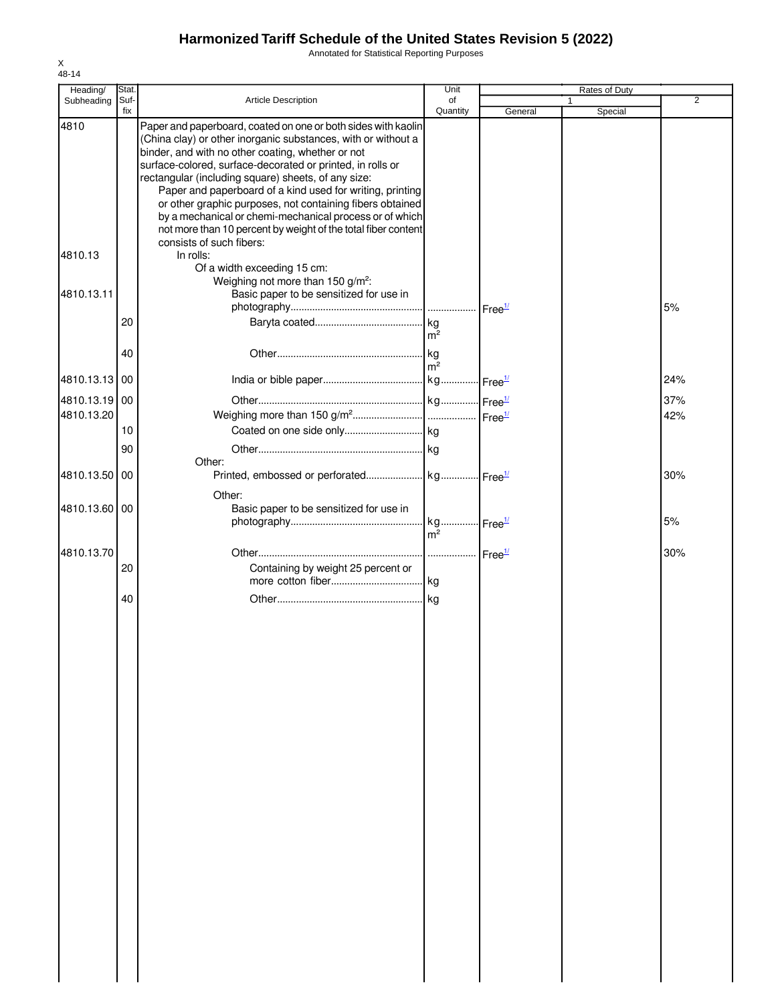Annotated for Statistical Reporting Purposes

| Heading/      | Stat. |                                                                                                                          | Unit                                    |         | Rates of Duty |                |
|---------------|-------|--------------------------------------------------------------------------------------------------------------------------|-----------------------------------------|---------|---------------|----------------|
| Subheading    | Suf-  | Article Description                                                                                                      | of                                      |         |               | $\overline{2}$ |
| 4810          | fix   | Paper and paperboard, coated on one or both sides with kaolin                                                            | Quantity                                | General | Special       |                |
|               |       | (China clay) or other inorganic substances, with or without a                                                            |                                         |         |               |                |
|               |       | binder, and with no other coating, whether or not<br>surface-colored, surface-decorated or printed, in rolls or          |                                         |         |               |                |
|               |       | rectangular (including square) sheets, of any size:                                                                      |                                         |         |               |                |
|               |       | Paper and paperboard of a kind used for writing, printing                                                                |                                         |         |               |                |
|               |       | or other graphic purposes, not containing fibers obtained                                                                |                                         |         |               |                |
|               |       | by a mechanical or chemi-mechanical process or of which<br>not more than 10 percent by weight of the total fiber content |                                         |         |               |                |
|               |       | consists of such fibers:                                                                                                 |                                         |         |               |                |
| 4810.13       |       | In rolls:                                                                                                                |                                         |         |               |                |
|               |       | Of a width exceeding 15 cm:                                                                                              |                                         |         |               |                |
|               |       | Weighing not more than 150 g/m <sup>2</sup> :                                                                            |                                         |         |               |                |
| 4810.13.11    |       | Basic paper to be sensitized for use in                                                                                  |                                         |         |               | 5%             |
|               | 20    |                                                                                                                          |                                         |         |               |                |
|               |       |                                                                                                                          | m <sup>2</sup>                          |         |               |                |
|               | 40    |                                                                                                                          |                                         |         |               |                |
|               |       |                                                                                                                          | m <sup>2</sup>                          |         |               |                |
| 4810.13.13 00 |       |                                                                                                                          |                                         |         |               | 24%            |
| 4810.13.19 00 |       |                                                                                                                          |                                         |         |               | 37%            |
| 4810.13.20    |       |                                                                                                                          |                                         |         |               | 42%            |
|               | 10    |                                                                                                                          |                                         |         |               |                |
|               | 90    |                                                                                                                          |                                         |         |               |                |
|               |       | Other:                                                                                                                   |                                         |         |               |                |
| 4810.13.50    | 00    |                                                                                                                          |                                         |         |               | 30%            |
|               |       | Other:                                                                                                                   |                                         |         |               |                |
| 4810.13.60 00 |       | Basic paper to be sensitized for use in                                                                                  |                                         |         |               |                |
|               |       |                                                                                                                          | kg Free <sup>1/</sup><br>m <sup>2</sup> |         |               | 5%             |
|               |       |                                                                                                                          |                                         |         |               |                |
| 4810.13.70    | 20    | Containing by weight 25 percent or                                                                                       |                                         |         |               | 30%            |
|               |       |                                                                                                                          |                                         |         |               |                |
|               | 40    |                                                                                                                          |                                         |         |               |                |
|               |       |                                                                                                                          |                                         |         |               |                |
|               |       |                                                                                                                          |                                         |         |               |                |
|               |       |                                                                                                                          |                                         |         |               |                |
|               |       |                                                                                                                          |                                         |         |               |                |
|               |       |                                                                                                                          |                                         |         |               |                |
|               |       |                                                                                                                          |                                         |         |               |                |
|               |       |                                                                                                                          |                                         |         |               |                |
|               |       |                                                                                                                          |                                         |         |               |                |
|               |       |                                                                                                                          |                                         |         |               |                |
|               |       |                                                                                                                          |                                         |         |               |                |
|               |       |                                                                                                                          |                                         |         |               |                |
|               |       |                                                                                                                          |                                         |         |               |                |
|               |       |                                                                                                                          |                                         |         |               |                |
|               |       |                                                                                                                          |                                         |         |               |                |
|               |       |                                                                                                                          |                                         |         |               |                |
|               |       |                                                                                                                          |                                         |         |               |                |
|               |       |                                                                                                                          |                                         |         |               |                |
|               |       |                                                                                                                          |                                         |         |               |                |
|               |       |                                                                                                                          |                                         |         |               |                |
|               |       |                                                                                                                          |                                         |         |               |                |
|               |       |                                                                                                                          |                                         |         |               |                |
|               |       |                                                                                                                          |                                         |         |               |                |
|               |       |                                                                                                                          |                                         |         |               |                |
|               |       |                                                                                                                          |                                         |         |               |                |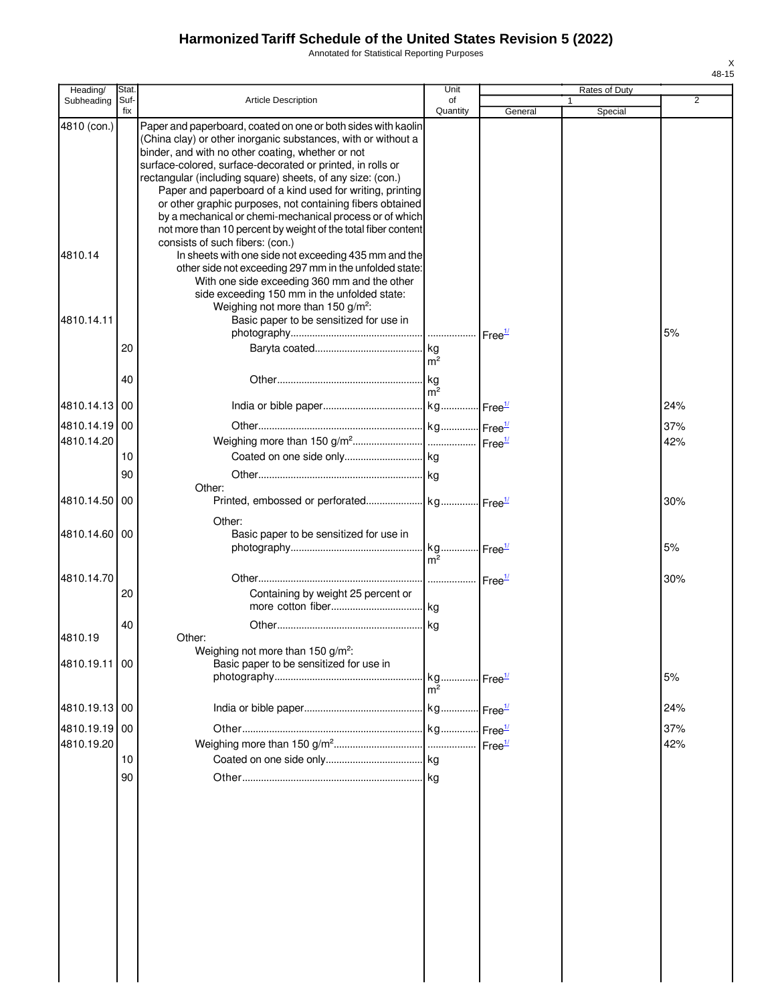Annotated for Statistical Reporting Purposes

| Heading/      | Stat.       |                                                                                                                                                                                                                                                                                                                                                                                                                                                                                                                                                                                                          | Unit                                     |         | Rates of Duty |     |
|---------------|-------------|----------------------------------------------------------------------------------------------------------------------------------------------------------------------------------------------------------------------------------------------------------------------------------------------------------------------------------------------------------------------------------------------------------------------------------------------------------------------------------------------------------------------------------------------------------------------------------------------------------|------------------------------------------|---------|---------------|-----|
| Subheading    | Suf-<br>fix | Article Description                                                                                                                                                                                                                                                                                                                                                                                                                                                                                                                                                                                      | of<br>Quantity                           | General | Special       | 2   |
| 4810 (con.)   |             | Paper and paperboard, coated on one or both sides with kaolin<br>(China clay) or other inorganic substances, with or without a<br>binder, and with no other coating, whether or not<br>surface-colored, surface-decorated or printed, in rolls or<br>rectangular (including square) sheets, of any size: (con.)<br>Paper and paperboard of a kind used for writing, printing<br>or other graphic purposes, not containing fibers obtained<br>by a mechanical or chemi-mechanical process or of which<br>not more than 10 percent by weight of the total fiber content<br>consists of such fibers: (con.) |                                          |         |               |     |
| 4810.14       |             | In sheets with one side not exceeding 435 mm and the<br>other side not exceeding 297 mm in the unfolded state:<br>With one side exceeding 360 mm and the other<br>side exceeding 150 mm in the unfolded state:<br>Weighing not more than 150 g/m <sup>2</sup> :                                                                                                                                                                                                                                                                                                                                          |                                          |         |               |     |
| 4810.14.11    |             | Basic paper to be sensitized for use in                                                                                                                                                                                                                                                                                                                                                                                                                                                                                                                                                                  |                                          |         |               | 5%  |
|               | 20<br>40    |                                                                                                                                                                                                                                                                                                                                                                                                                                                                                                                                                                                                          | m <sup>2</sup><br>. kg<br>m <sup>2</sup> |         |               |     |
| 4810.14.13 00 |             |                                                                                                                                                                                                                                                                                                                                                                                                                                                                                                                                                                                                          |                                          |         |               | 24% |
| 4810.14.19 00 |             |                                                                                                                                                                                                                                                                                                                                                                                                                                                                                                                                                                                                          |                                          |         |               | 37% |
| 4810.14.20    |             |                                                                                                                                                                                                                                                                                                                                                                                                                                                                                                                                                                                                          |                                          |         |               | 42% |
|               | 10<br>90    | Other:                                                                                                                                                                                                                                                                                                                                                                                                                                                                                                                                                                                                   |                                          |         |               |     |
| 4810.14.50 00 |             |                                                                                                                                                                                                                                                                                                                                                                                                                                                                                                                                                                                                          |                                          |         |               | 30% |
| 4810.14.60 00 |             | Other:<br>Basic paper to be sensitized for use in                                                                                                                                                                                                                                                                                                                                                                                                                                                                                                                                                        |                                          |         |               | 5%  |
|               |             |                                                                                                                                                                                                                                                                                                                                                                                                                                                                                                                                                                                                          | m <sup>2</sup>                           |         |               |     |
| 4810.14.70    | 20          | Containing by weight 25 percent or                                                                                                                                                                                                                                                                                                                                                                                                                                                                                                                                                                       |                                          |         |               | 30% |
| 4810.19       | 40          | Other:<br>Weighing not more than 150 $g/m^2$ :                                                                                                                                                                                                                                                                                                                                                                                                                                                                                                                                                           |                                          |         |               |     |
| 4810.19.11 00 |             | Basic paper to be sensitized for use in                                                                                                                                                                                                                                                                                                                                                                                                                                                                                                                                                                  | kg Free <sup>1/</sup><br>m <sup>2</sup>  |         |               | 5%  |
| 4810.19.13 00 |             |                                                                                                                                                                                                                                                                                                                                                                                                                                                                                                                                                                                                          |                                          |         |               | 24% |
| 4810.19.19 00 |             |                                                                                                                                                                                                                                                                                                                                                                                                                                                                                                                                                                                                          |                                          |         |               | 37% |
| 4810.19.20    |             |                                                                                                                                                                                                                                                                                                                                                                                                                                                                                                                                                                                                          |                                          |         |               | 42% |
|               | 10          |                                                                                                                                                                                                                                                                                                                                                                                                                                                                                                                                                                                                          |                                          |         |               |     |
|               | 90          |                                                                                                                                                                                                                                                                                                                                                                                                                                                                                                                                                                                                          |                                          |         |               |     |
|               |             |                                                                                                                                                                                                                                                                                                                                                                                                                                                                                                                                                                                                          |                                          |         |               |     |
|               |             |                                                                                                                                                                                                                                                                                                                                                                                                                                                                                                                                                                                                          |                                          |         |               |     |
|               |             |                                                                                                                                                                                                                                                                                                                                                                                                                                                                                                                                                                                                          |                                          |         |               |     |
|               |             |                                                                                                                                                                                                                                                                                                                                                                                                                                                                                                                                                                                                          |                                          |         |               |     |
|               |             |                                                                                                                                                                                                                                                                                                                                                                                                                                                                                                                                                                                                          |                                          |         |               |     |
|               |             |                                                                                                                                                                                                                                                                                                                                                                                                                                                                                                                                                                                                          |                                          |         |               |     |
|               |             |                                                                                                                                                                                                                                                                                                                                                                                                                                                                                                                                                                                                          |                                          |         |               |     |
|               |             |                                                                                                                                                                                                                                                                                                                                                                                                                                                                                                                                                                                                          |                                          |         |               |     |
|               |             |                                                                                                                                                                                                                                                                                                                                                                                                                                                                                                                                                                                                          |                                          |         |               |     |
|               |             |                                                                                                                                                                                                                                                                                                                                                                                                                                                                                                                                                                                                          |                                          |         |               |     |
|               |             |                                                                                                                                                                                                                                                                                                                                                                                                                                                                                                                                                                                                          |                                          |         |               |     |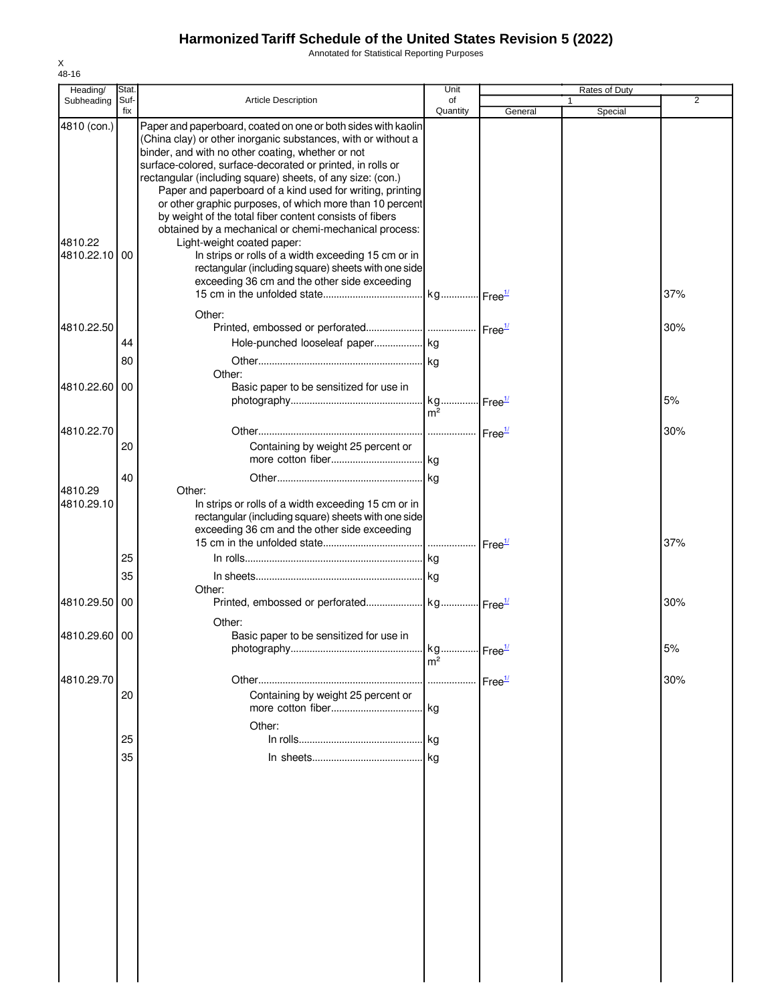Annotated for Statistical Reporting Purposes

| Heading/              | Stat.       |                                                                                                                                                                                                                                                                                                                                                                                                                                                                                                     | Unit           |                    | Rates of Duty |     |
|-----------------------|-------------|-----------------------------------------------------------------------------------------------------------------------------------------------------------------------------------------------------------------------------------------------------------------------------------------------------------------------------------------------------------------------------------------------------------------------------------------------------------------------------------------------------|----------------|--------------------|---------------|-----|
| Subheading            | Suf-<br>fix | <b>Article Description</b>                                                                                                                                                                                                                                                                                                                                                                                                                                                                          | of<br>Quantity | General            | 1<br>Special  | 2   |
| 4810 (con.)           |             | Paper and paperboard, coated on one or both sides with kaolin<br>(China clay) or other inorganic substances, with or without a<br>binder, and with no other coating, whether or not<br>surface-colored, surface-decorated or printed, in rolls or<br>rectangular (including square) sheets, of any size: (con.)<br>Paper and paperboard of a kind used for writing, printing<br>or other graphic purposes, of which more than 10 percent<br>by weight of the total fiber content consists of fibers |                |                    |               |     |
| 4810.22<br>4810.22.10 | 00          | obtained by a mechanical or chemi-mechanical process:<br>Light-weight coated paper:<br>In strips or rolls of a width exceeding 15 cm or in<br>rectangular (including square) sheets with one side<br>exceeding 36 cm and the other side exceeding                                                                                                                                                                                                                                                   |                |                    |               | 37% |
|                       |             | Other:                                                                                                                                                                                                                                                                                                                                                                                                                                                                                              |                |                    |               |     |
| 4810.22.50            |             |                                                                                                                                                                                                                                                                                                                                                                                                                                                                                                     |                |                    |               | 30% |
|                       | 44          | Hole-punched looseleaf paper  kg                                                                                                                                                                                                                                                                                                                                                                                                                                                                    |                |                    |               |     |
|                       | 80          |                                                                                                                                                                                                                                                                                                                                                                                                                                                                                                     |                |                    |               |     |
| 4810.22.60            | 00          | Other:<br>Basic paper to be sensitized for use in                                                                                                                                                                                                                                                                                                                                                                                                                                                   | m <sup>2</sup> |                    |               | 5%  |
|                       |             |                                                                                                                                                                                                                                                                                                                                                                                                                                                                                                     |                |                    |               |     |
| 4810.22.70            | 20          | Containing by weight 25 percent or                                                                                                                                                                                                                                                                                                                                                                                                                                                                  |                |                    |               | 30% |
|                       | 40          |                                                                                                                                                                                                                                                                                                                                                                                                                                                                                                     |                |                    |               |     |
| 4810.29<br>4810.29.10 |             | Other:<br>In strips or rolls of a width exceeding 15 cm or in<br>rectangular (including square) sheets with one side<br>exceeding 36 cm and the other side exceeding                                                                                                                                                                                                                                                                                                                                |                |                    |               | 37% |
|                       | 25          |                                                                                                                                                                                                                                                                                                                                                                                                                                                                                                     |                |                    |               |     |
|                       | 35          |                                                                                                                                                                                                                                                                                                                                                                                                                                                                                                     |                |                    |               |     |
|                       |             | Other:                                                                                                                                                                                                                                                                                                                                                                                                                                                                                              |                |                    |               |     |
| 4810.29.50            | 00          | Other:                                                                                                                                                                                                                                                                                                                                                                                                                                                                                              |                |                    |               | 30% |
| 4810.29.60 00         |             | Basic paper to be sensitized for use in                                                                                                                                                                                                                                                                                                                                                                                                                                                             | kg.            | Free <sup>1/</sup> |               | 5%  |
|                       |             |                                                                                                                                                                                                                                                                                                                                                                                                                                                                                                     | m <sup>2</sup> |                    |               |     |
| 4810.29.70            | 20          | Containing by weight 25 percent or                                                                                                                                                                                                                                                                                                                                                                                                                                                                  |                |                    |               | 30% |
|                       | 25          | Other:                                                                                                                                                                                                                                                                                                                                                                                                                                                                                              |                |                    |               |     |
|                       | 35          |                                                                                                                                                                                                                                                                                                                                                                                                                                                                                                     |                |                    |               |     |
|                       |             |                                                                                                                                                                                                                                                                                                                                                                                                                                                                                                     |                |                    |               |     |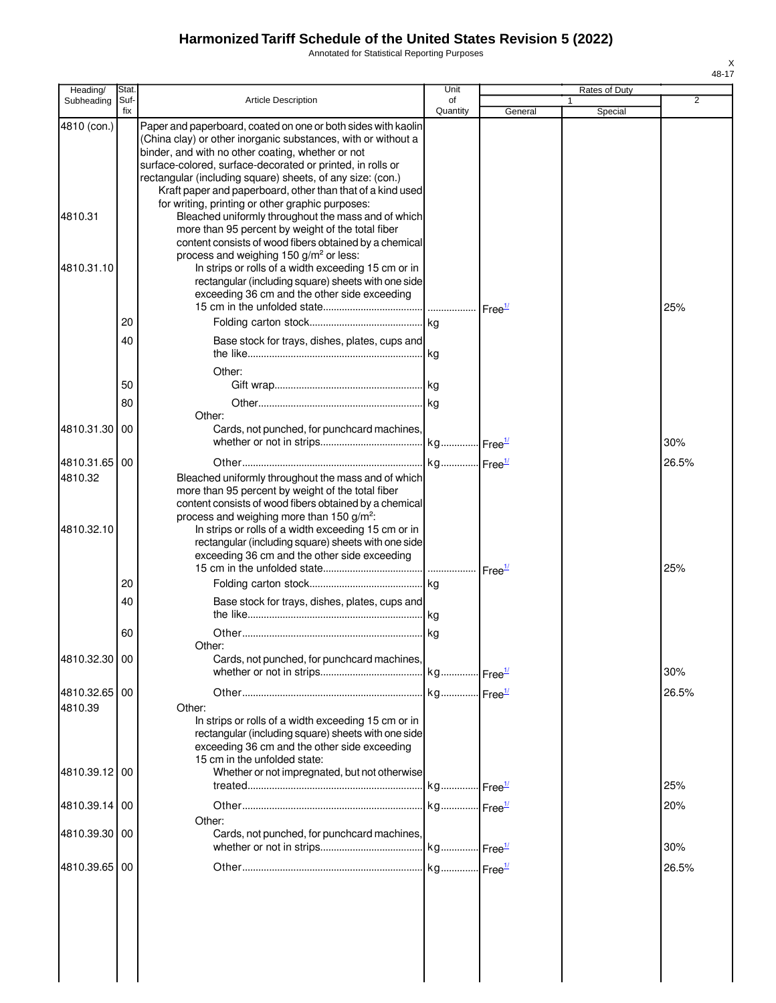Annotated for Statistical Reporting Purposes

| Heading/      | Stat.       |                                                                                                                                                                                                                                                                                                                                                                               | Unit           |         | Rates of Duty |       |
|---------------|-------------|-------------------------------------------------------------------------------------------------------------------------------------------------------------------------------------------------------------------------------------------------------------------------------------------------------------------------------------------------------------------------------|----------------|---------|---------------|-------|
| Subheading    | Suf-<br>fix | <b>Article Description</b>                                                                                                                                                                                                                                                                                                                                                    | οf<br>Quantity | General | Special       | 2     |
| 4810 (con.)   |             | Paper and paperboard, coated on one or both sides with kaolin<br>(China clay) or other inorganic substances, with or without a<br>binder, and with no other coating, whether or not<br>surface-colored, surface-decorated or printed, in rolls or<br>rectangular (including square) sheets, of any size: (con.)<br>Kraft paper and paperboard, other than that of a kind used |                |         |               |       |
| 4810.31       |             | for writing, printing or other graphic purposes:<br>Bleached uniformly throughout the mass and of which<br>more than 95 percent by weight of the total fiber<br>content consists of wood fibers obtained by a chemical                                                                                                                                                        |                |         |               |       |
| 4810.31.10    |             | process and weighing 150 g/m <sup>2</sup> or less:<br>In strips or rolls of a width exceeding 15 cm or in<br>rectangular (including square) sheets with one side<br>exceeding 36 cm and the other side exceeding                                                                                                                                                              |                |         |               | 25%   |
|               | 20          |                                                                                                                                                                                                                                                                                                                                                                               |                |         |               |       |
|               | 40          | Base stock for trays, dishes, plates, cups and                                                                                                                                                                                                                                                                                                                                |                |         |               |       |
|               |             | Other:                                                                                                                                                                                                                                                                                                                                                                        |                |         |               |       |
|               | 50          |                                                                                                                                                                                                                                                                                                                                                                               |                |         |               |       |
|               | 80          | Other:                                                                                                                                                                                                                                                                                                                                                                        |                |         |               |       |
| 4810.31.30    | 00          | Cards, not punched, for punchcard machines,                                                                                                                                                                                                                                                                                                                                   |                |         |               | 30%   |
| 4810.31.65    | 00          |                                                                                                                                                                                                                                                                                                                                                                               |                |         |               | 26.5% |
| 4810.32       |             | Bleached uniformly throughout the mass and of which<br>more than 95 percent by weight of the total fiber<br>content consists of wood fibers obtained by a chemical                                                                                                                                                                                                            |                |         |               |       |
| 4810.32.10    |             | process and weighing more than 150 $g/m^2$ .<br>In strips or rolls of a width exceeding 15 cm or in<br>rectangular (including square) sheets with one side<br>exceeding 36 cm and the other side exceeding                                                                                                                                                                    |                |         |               | 25%   |
|               | 20          |                                                                                                                                                                                                                                                                                                                                                                               |                |         |               |       |
|               | 40          | Base stock for trays, dishes, plates, cups and                                                                                                                                                                                                                                                                                                                                |                |         |               |       |
|               | 60          |                                                                                                                                                                                                                                                                                                                                                                               |                |         |               |       |
| 4810.32.30 00 |             | Other:<br>Cards, not punched, for punchcard machines,                                                                                                                                                                                                                                                                                                                         |                |         |               | 30%   |
| 4810.32.65 00 |             |                                                                                                                                                                                                                                                                                                                                                                               |                |         |               | 26.5% |
| 4810.39       |             | Other:<br>In strips or rolls of a width exceeding 15 cm or in<br>rectangular (including square) sheets with one side<br>exceeding 36 cm and the other side exceeding<br>15 cm in the unfolded state:                                                                                                                                                                          |                |         |               |       |
| 4810.39.12 00 |             | Whether or not impregnated, but not otherwise                                                                                                                                                                                                                                                                                                                                 |                |         |               | 25%   |
| 4810.39.14    | -00         |                                                                                                                                                                                                                                                                                                                                                                               |                |         |               | 20%   |
| 4810.39.30    | -00         | Other:<br>Cards, not punched, for punchcard machines,                                                                                                                                                                                                                                                                                                                         |                |         |               | 30%   |
| 4810.39.65 00 |             |                                                                                                                                                                                                                                                                                                                                                                               |                |         |               | 26.5% |
|               |             |                                                                                                                                                                                                                                                                                                                                                                               |                |         |               |       |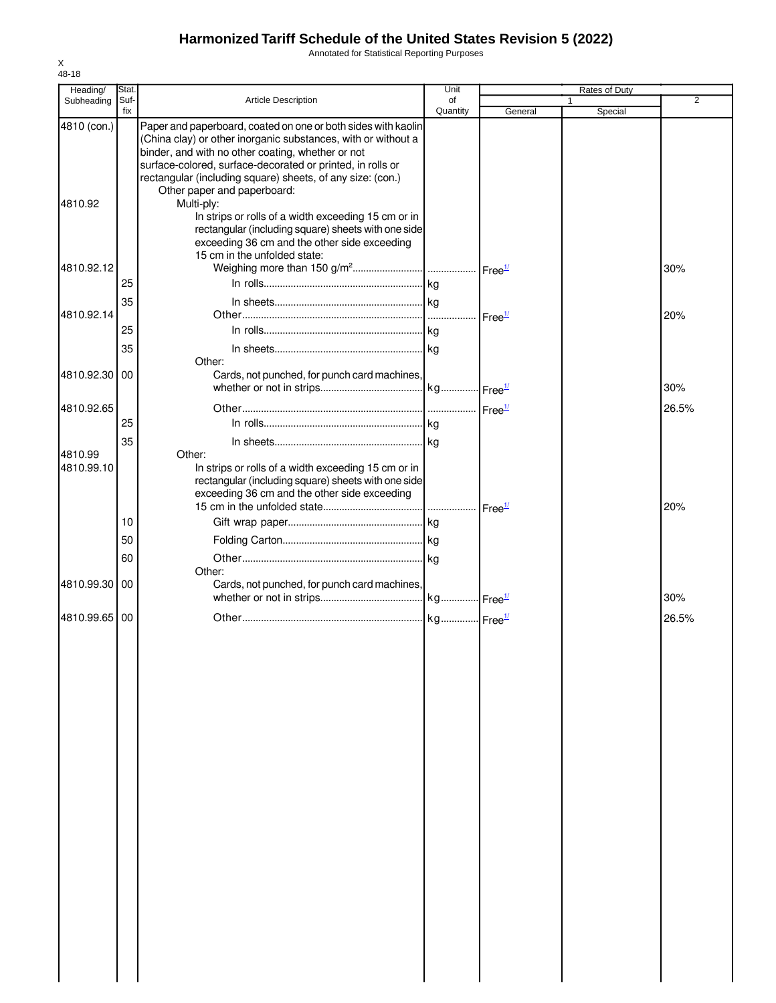Annotated for Statistical Reporting Purposes

| Heading/      | Stat<br>Suf- |                                                                                                            | Unit<br>of |                    | <b>Rates of Duty</b> | 2     |
|---------------|--------------|------------------------------------------------------------------------------------------------------------|------------|--------------------|----------------------|-------|
| Subheading    | fix          | <b>Article Description</b>                                                                                 | Quantity   | General            | Special              |       |
| 4810 (con.)   |              | Paper and paperboard, coated on one or both sides with kaolin                                              |            |                    |                      |       |
|               |              | (China clay) or other inorganic substances, with or without a                                              |            |                    |                      |       |
|               |              | binder, and with no other coating, whether or not                                                          |            |                    |                      |       |
|               |              | surface-colored, surface-decorated or printed, in rolls or                                                 |            |                    |                      |       |
|               |              | rectangular (including square) sheets, of any size: (con.)                                                 |            |                    |                      |       |
|               |              | Other paper and paperboard:                                                                                |            |                    |                      |       |
| 4810.92       |              | Multi-ply:                                                                                                 |            |                    |                      |       |
|               |              | In strips or rolls of a width exceeding 15 cm or in<br>rectangular (including square) sheets with one side |            |                    |                      |       |
|               |              | exceeding 36 cm and the other side exceeding                                                               |            |                    |                      |       |
|               |              | 15 cm in the unfolded state:                                                                               |            |                    |                      |       |
| 4810.92.12    |              |                                                                                                            |            |                    |                      | 30%   |
|               | 25           |                                                                                                            |            |                    |                      |       |
|               |              |                                                                                                            |            |                    |                      |       |
| 4810.92.14    | 35           |                                                                                                            |            |                    |                      | 20%   |
|               |              |                                                                                                            |            | Free <sup>1/</sup> |                      |       |
|               | 25           |                                                                                                            |            |                    |                      |       |
|               | 35           |                                                                                                            |            |                    |                      |       |
|               |              | Other:                                                                                                     |            |                    |                      |       |
| 4810.92.30    | 00           | Cards, not punched, for punch card machines,                                                               |            |                    |                      |       |
|               |              |                                                                                                            |            |                    |                      | 30%   |
| 4810.92.65    |              |                                                                                                            |            |                    |                      | 26.5% |
|               | 25           |                                                                                                            |            |                    |                      |       |
|               | 35           |                                                                                                            |            |                    |                      |       |
| 4810.99       |              | Other:                                                                                                     |            |                    |                      |       |
| 4810.99.10    |              | In strips or rolls of a width exceeding 15 cm or in                                                        |            |                    |                      |       |
|               |              | rectangular (including square) sheets with one side                                                        |            |                    |                      |       |
|               |              | exceeding 36 cm and the other side exceeding                                                               |            |                    |                      |       |
|               |              |                                                                                                            |            |                    |                      | 20%   |
|               | 10           |                                                                                                            |            |                    |                      |       |
|               | 50           |                                                                                                            |            |                    |                      |       |
|               | 60           |                                                                                                            |            |                    |                      |       |
|               |              | Other:                                                                                                     |            |                    |                      |       |
| 4810.99.30 00 |              | Cards, not punched, for punch card machines,                                                               |            |                    |                      |       |
|               |              |                                                                                                            |            |                    |                      | 30%   |
| 4810.99.65 00 |              |                                                                                                            |            |                    |                      | 26.5% |
|               |              |                                                                                                            |            |                    |                      |       |
|               |              |                                                                                                            |            |                    |                      |       |
|               |              |                                                                                                            |            |                    |                      |       |
|               |              |                                                                                                            |            |                    |                      |       |
|               |              |                                                                                                            |            |                    |                      |       |
|               |              |                                                                                                            |            |                    |                      |       |
|               |              |                                                                                                            |            |                    |                      |       |
|               |              |                                                                                                            |            |                    |                      |       |
|               |              |                                                                                                            |            |                    |                      |       |
|               |              |                                                                                                            |            |                    |                      |       |
|               |              |                                                                                                            |            |                    |                      |       |
|               |              |                                                                                                            |            |                    |                      |       |
|               |              |                                                                                                            |            |                    |                      |       |
|               |              |                                                                                                            |            |                    |                      |       |
|               |              |                                                                                                            |            |                    |                      |       |
|               |              |                                                                                                            |            |                    |                      |       |
|               |              |                                                                                                            |            |                    |                      |       |
|               |              |                                                                                                            |            |                    |                      |       |
|               |              |                                                                                                            |            |                    |                      |       |
|               |              |                                                                                                            |            |                    |                      |       |
|               |              |                                                                                                            |            |                    |                      |       |
|               |              |                                                                                                            |            |                    |                      |       |
|               |              |                                                                                                            |            |                    |                      |       |
|               |              |                                                                                                            |            |                    |                      |       |
|               |              |                                                                                                            |            |                    |                      |       |
|               |              |                                                                                                            |            |                    |                      |       |

X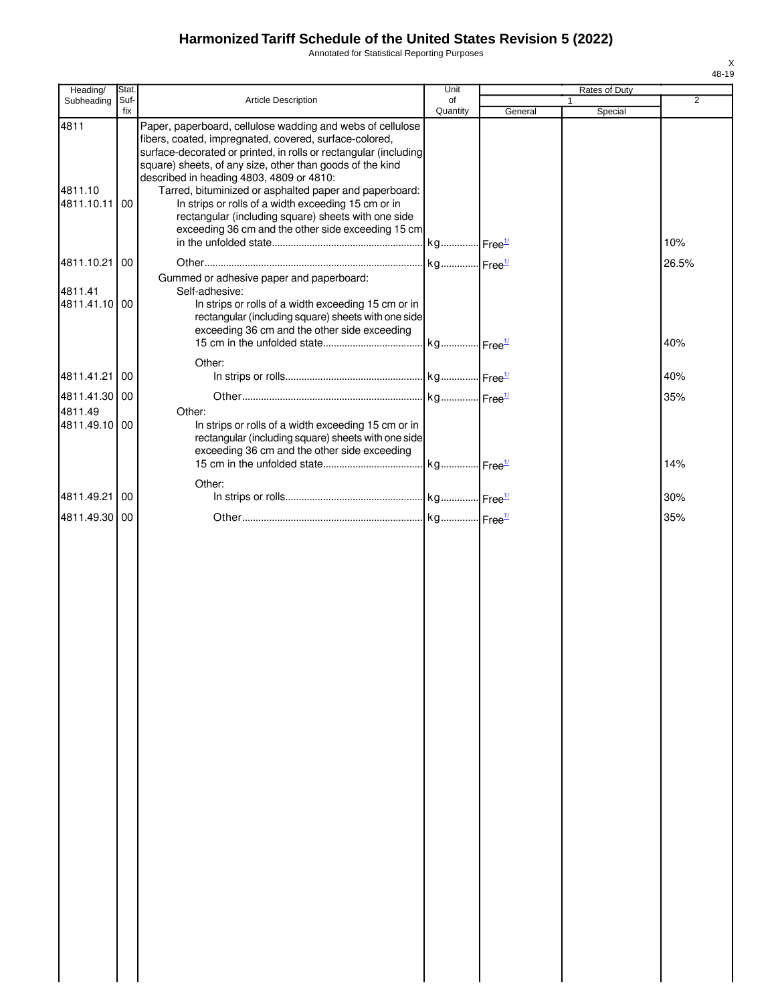Annotated for Statistical Reporting Purposes

| Heading/                      | Stat.           |                                                                                                                                                                                                                                                                                                                                                                                                                                                                                                                                 | Unit                    |         | Rates of Duty |                |
|-------------------------------|-----------------|---------------------------------------------------------------------------------------------------------------------------------------------------------------------------------------------------------------------------------------------------------------------------------------------------------------------------------------------------------------------------------------------------------------------------------------------------------------------------------------------------------------------------------|-------------------------|---------|---------------|----------------|
| Subheading                    | Suf-<br>fix     | Article Description                                                                                                                                                                                                                                                                                                                                                                                                                                                                                                             | of<br>Quantity          | General | Special       | $\overline{2}$ |
| 4811<br>4811.10<br>4811.10.11 | 00              | Paper, paperboard, cellulose wadding and webs of cellulose<br>fibers, coated, impregnated, covered, surface-colored,<br>surface-decorated or printed, in rolls or rectangular (including<br>square) sheets, of any size, other than goods of the kind<br>described in heading 4803, 4809 or 4810:<br>Tarred, bituminized or asphalted paper and paperboard:<br>In strips or rolls of a width exceeding 15 cm or in<br>rectangular (including square) sheets with one side<br>exceeding 36 cm and the other side exceeding 15 cm | . kg Free <sup>1/</sup> |         |               | 10%            |
| 4811.10.21                    | $\overline{00}$ |                                                                                                                                                                                                                                                                                                                                                                                                                                                                                                                                 |                         |         |               | 26.5%          |
| 4811.41<br>4811.41.10 00      |                 | Gummed or adhesive paper and paperboard:<br>Self-adhesive:<br>In strips or rolls of a width exceeding 15 cm or in<br>rectangular (including square) sheets with one side<br>exceeding 36 cm and the other side exceeding                                                                                                                                                                                                                                                                                                        |                         |         |               | 40%            |
|                               |                 | Other:                                                                                                                                                                                                                                                                                                                                                                                                                                                                                                                          |                         |         |               |                |
| 4811.41.21 00                 |                 |                                                                                                                                                                                                                                                                                                                                                                                                                                                                                                                                 |                         |         |               | 40%            |
| 4811.41.30 00                 |                 |                                                                                                                                                                                                                                                                                                                                                                                                                                                                                                                                 |                         |         |               | 35%            |
| 4811.49<br>4811.49.10 00      |                 | Other:<br>In strips or rolls of a width exceeding 15 cm or in<br>rectangular (including square) sheets with one side<br>exceeding 36 cm and the other side exceeding                                                                                                                                                                                                                                                                                                                                                            |                         |         |               | 14%            |
|                               |                 | Other:                                                                                                                                                                                                                                                                                                                                                                                                                                                                                                                          |                         |         |               |                |
| 4811.49.21 00                 |                 |                                                                                                                                                                                                                                                                                                                                                                                                                                                                                                                                 |                         |         |               | 30%            |
| 4811.49.30 00                 |                 |                                                                                                                                                                                                                                                                                                                                                                                                                                                                                                                                 |                         |         |               | 35%            |
|                               |                 |                                                                                                                                                                                                                                                                                                                                                                                                                                                                                                                                 |                         |         |               |                |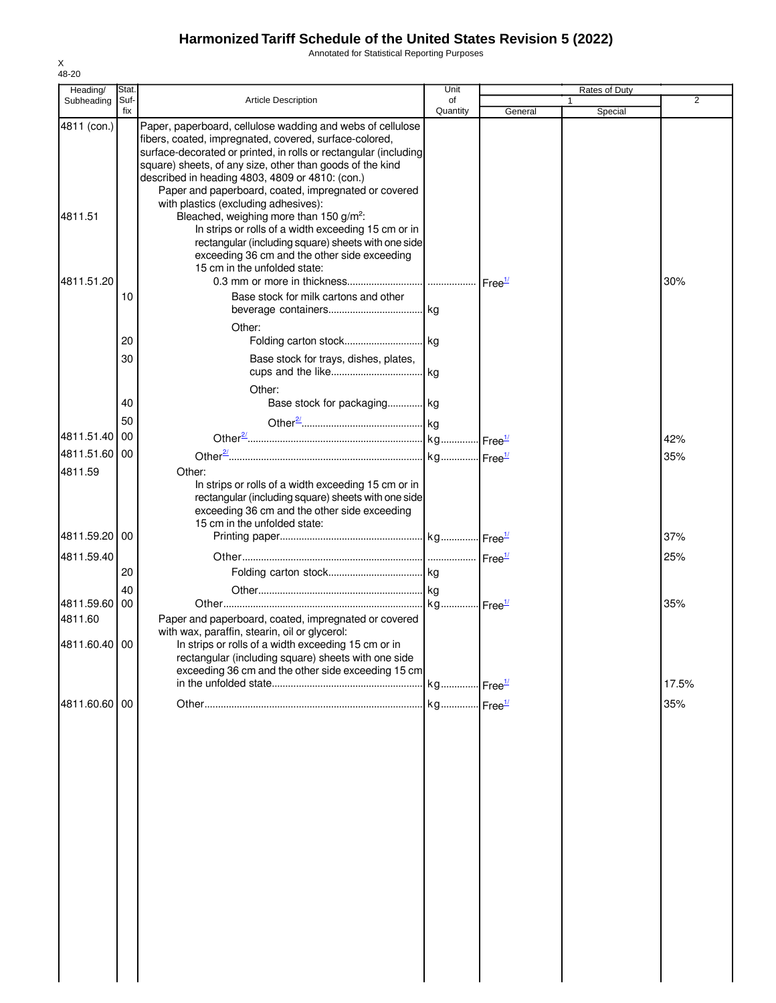Annotated for Statistical Reporting Purposes

| Heading/      | Stat. |                                                                                                            | Unit     |                    | Rates of Duty |                |
|---------------|-------|------------------------------------------------------------------------------------------------------------|----------|--------------------|---------------|----------------|
| Subheading    | Suf-  | <b>Article Description</b>                                                                                 | of       |                    |               | $\overline{2}$ |
| 4811 (con.)   | fix   | Paper, paperboard, cellulose wadding and webs of cellulose                                                 | Quantity | General            | Special       |                |
|               |       | fibers, coated, impregnated, covered, surface-colored,                                                     |          |                    |               |                |
|               |       | surface-decorated or printed, in rolls or rectangular (including                                           |          |                    |               |                |
|               |       | square) sheets, of any size, other than goods of the kind                                                  |          |                    |               |                |
|               |       | described in heading 4803, 4809 or 4810: (con.)<br>Paper and paperboard, coated, impregnated or covered    |          |                    |               |                |
|               |       | with plastics (excluding adhesives):                                                                       |          |                    |               |                |
| 4811.51       |       | Bleached, weighing more than 150 g/m <sup>2</sup> :                                                        |          |                    |               |                |
|               |       | In strips or rolls of a width exceeding 15 cm or in                                                        |          |                    |               |                |
|               |       | rectangular (including square) sheets with one side                                                        |          |                    |               |                |
|               |       | exceeding 36 cm and the other side exceeding                                                               |          |                    |               |                |
| 4811.51.20    |       | 15 cm in the unfolded state:                                                                               |          | Free <sup>1/</sup> |               | 30%            |
|               | 10    | Base stock for milk cartons and other                                                                      |          |                    |               |                |
|               |       |                                                                                                            |          |                    |               |                |
|               |       | Other:                                                                                                     |          |                    |               |                |
|               | 20    |                                                                                                            |          |                    |               |                |
|               | 30    | Base stock for trays, dishes, plates,                                                                      |          |                    |               |                |
|               |       |                                                                                                            |          |                    |               |                |
|               |       | Other:                                                                                                     |          |                    |               |                |
|               | 40    | Base stock for packaging kg                                                                                |          |                    |               |                |
|               | 50    |                                                                                                            |          |                    |               |                |
| 4811.51.40    | 00    |                                                                                                            |          |                    |               |                |
|               |       |                                                                                                            |          |                    |               | 42%            |
| 4811.51.60 00 |       |                                                                                                            |          |                    |               | 35%            |
| 4811.59       |       | Other:                                                                                                     |          |                    |               |                |
|               |       | In strips or rolls of a width exceeding 15 cm or in<br>rectangular (including square) sheets with one side |          |                    |               |                |
|               |       | exceeding 36 cm and the other side exceeding                                                               |          |                    |               |                |
|               |       | 15 cm in the unfolded state:                                                                               |          |                    |               |                |
| 4811.59.20 00 |       |                                                                                                            |          |                    |               | 37%            |
| 4811.59.40    |       |                                                                                                            |          |                    |               | 25%            |
|               | 20    |                                                                                                            |          |                    |               |                |
|               | 40    |                                                                                                            |          |                    |               |                |
| 4811.59.60    | 00    |                                                                                                            |          |                    |               | 35%            |
| 4811.60       |       | Paper and paperboard, coated, impregnated or covered                                                       |          |                    |               |                |
|               |       | with wax, paraffin, stearin, oil or glycerol:                                                              |          |                    |               |                |
| 4811.60.40 00 |       | In strips or rolls of a width exceeding 15 cm or in                                                        |          |                    |               |                |
|               |       | rectangular (including square) sheets with one side                                                        |          |                    |               |                |
|               |       | exceeding 36 cm and the other side exceeding 15 cm                                                         |          |                    |               | 17.5%          |
|               |       |                                                                                                            |          |                    |               |                |
| 4811.60.60 00 |       |                                                                                                            |          |                    |               | 35%            |
|               |       |                                                                                                            |          |                    |               |                |
|               |       |                                                                                                            |          |                    |               |                |
|               |       |                                                                                                            |          |                    |               |                |
|               |       |                                                                                                            |          |                    |               |                |
|               |       |                                                                                                            |          |                    |               |                |
|               |       |                                                                                                            |          |                    |               |                |
|               |       |                                                                                                            |          |                    |               |                |
|               |       |                                                                                                            |          |                    |               |                |
|               |       |                                                                                                            |          |                    |               |                |
|               |       |                                                                                                            |          |                    |               |                |
|               |       |                                                                                                            |          |                    |               |                |
|               |       |                                                                                                            |          |                    |               |                |
|               |       |                                                                                                            |          |                    |               |                |
|               |       |                                                                                                            |          |                    |               |                |
|               |       |                                                                                                            |          |                    |               |                |
|               |       |                                                                                                            |          |                    |               |                |
|               |       |                                                                                                            |          |                    |               |                |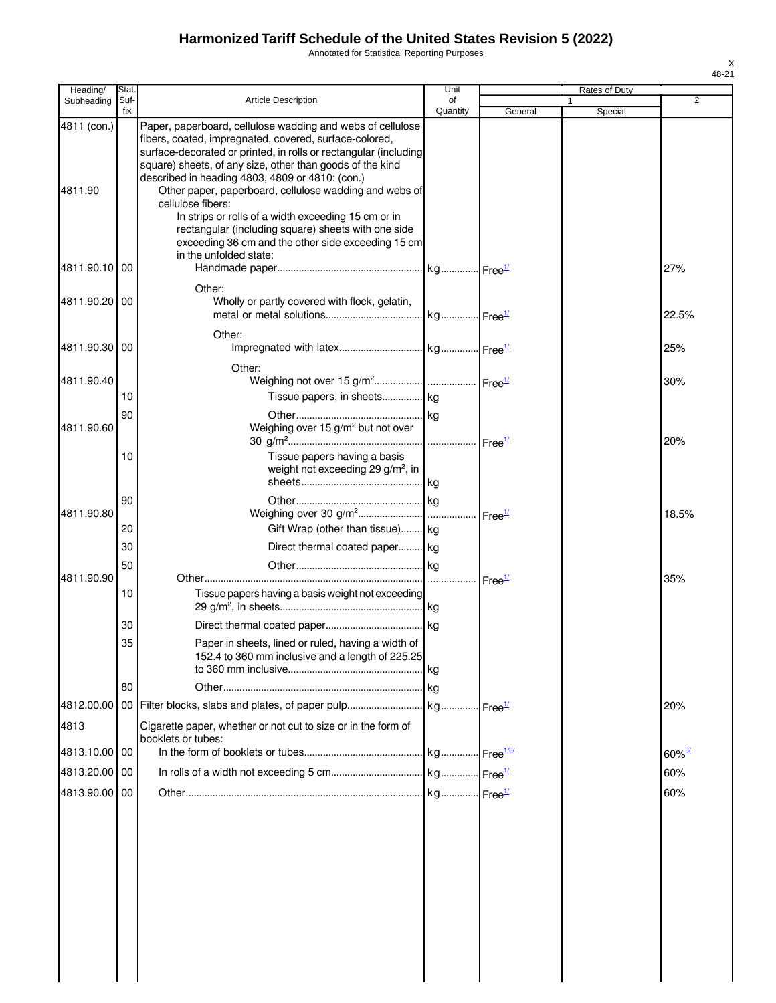Annotated for Statistical Reporting Purposes

| Heading/               | Stat.       |                                                                                                                                                                                                                                                                                                                                                                    | Unit           |                    | Rates of Duty |                      |
|------------------------|-------------|--------------------------------------------------------------------------------------------------------------------------------------------------------------------------------------------------------------------------------------------------------------------------------------------------------------------------------------------------------------------|----------------|--------------------|---------------|----------------------|
| Subheading             | Suf-<br>fix | <b>Article Description</b>                                                                                                                                                                                                                                                                                                                                         | of<br>Quantity | General            | Special       | $\overline{2}$       |
| 4811 (con.)<br>4811.90 |             | Paper, paperboard, cellulose wadding and webs of cellulose<br>fibers, coated, impregnated, covered, surface-colored,<br>surface-decorated or printed, in rolls or rectangular (including<br>square) sheets, of any size, other than goods of the kind<br>described in heading 4803, 4809 or 4810: (con.)<br>Other paper, paperboard, cellulose wadding and webs of |                |                    |               |                      |
|                        |             | cellulose fibers:<br>In strips or rolls of a width exceeding 15 cm or in<br>rectangular (including square) sheets with one side<br>exceeding 36 cm and the other side exceeding 15 cm<br>in the unfolded state:                                                                                                                                                    |                |                    |               |                      |
| 4811.90.10 00          |             | Other:                                                                                                                                                                                                                                                                                                                                                             |                |                    |               | 27%                  |
| 4811.90.20100          |             | Wholly or partly covered with flock, gelatin,                                                                                                                                                                                                                                                                                                                      |                |                    |               | 22.5%                |
| 4811.90.30 00          |             | Other:                                                                                                                                                                                                                                                                                                                                                             |                |                    |               | 25%                  |
| 4811.90.40             |             | Other:                                                                                                                                                                                                                                                                                                                                                             |                |                    |               | 30%                  |
|                        | 10<br>90    | Tissue papers, in sheets kg                                                                                                                                                                                                                                                                                                                                        |                |                    |               |                      |
| 4811.90.60             |             | Weighing over 15 g/m <sup>2</sup> but not over                                                                                                                                                                                                                                                                                                                     |                |                    |               | 20%                  |
|                        | 10          | Tissue papers having a basis<br>weight not exceeding 29 g/m <sup>2</sup> , in                                                                                                                                                                                                                                                                                      |                |                    |               |                      |
| 4811.90.80             | 90          |                                                                                                                                                                                                                                                                                                                                                                    |                | Free <sup>1/</sup> |               | 18.5%                |
|                        | 20<br>30    | Gift Wrap (other than tissue) kg<br>Direct thermal coated paper kg                                                                                                                                                                                                                                                                                                 |                |                    |               |                      |
| 4811.90.90             | 50          |                                                                                                                                                                                                                                                                                                                                                                    |                |                    |               | 35%                  |
|                        | 10          | Tissue papers having a basis weight not exceeding                                                                                                                                                                                                                                                                                                                  |                |                    |               |                      |
|                        | 30<br>35    |                                                                                                                                                                                                                                                                                                                                                                    |                |                    |               |                      |
|                        |             | Paper in sheets, lined or ruled, having a width of<br>152.4 to 360 mm inclusive and a length of 225.25                                                                                                                                                                                                                                                             |                |                    |               |                      |
|                        | 80          |                                                                                                                                                                                                                                                                                                                                                                    |                |                    |               |                      |
| 4812.00.00<br>4813     |             | Cigarette paper, whether or not cut to size or in the form of                                                                                                                                                                                                                                                                                                      |                |                    |               | 20%                  |
| 4813.10.00 00          |             | booklets or tubes:                                                                                                                                                                                                                                                                                                                                                 |                |                    |               | $60\%$ <sup>3/</sup> |
| 4813.20.00             | 00          |                                                                                                                                                                                                                                                                                                                                                                    |                |                    |               | 60%                  |
| 4813.90.00 00          |             |                                                                                                                                                                                                                                                                                                                                                                    |                |                    |               | 60%                  |
|                        |             |                                                                                                                                                                                                                                                                                                                                                                    |                |                    |               |                      |
|                        |             |                                                                                                                                                                                                                                                                                                                                                                    |                |                    |               |                      |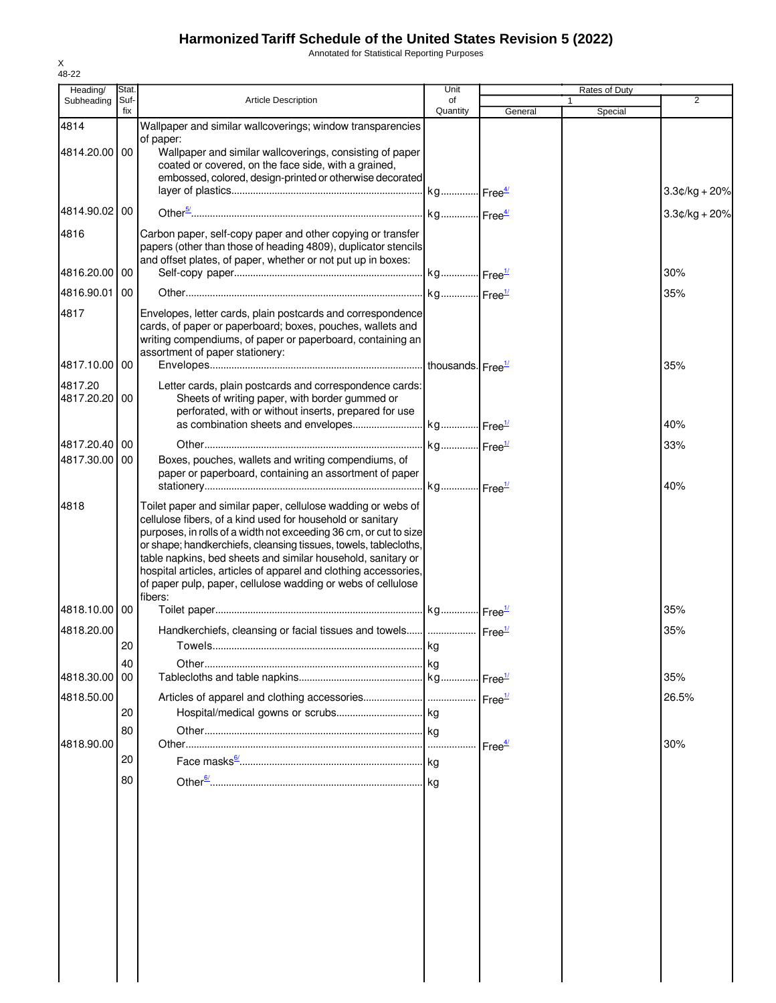Annotated for Statistical Reporting Purposes

| Heading/                 | Stat.       |                                                                                                                                                                                                                                                                                                                                                                                                                                                                                    | Unit                          |         | Rates of Duty |                 |
|--------------------------|-------------|------------------------------------------------------------------------------------------------------------------------------------------------------------------------------------------------------------------------------------------------------------------------------------------------------------------------------------------------------------------------------------------------------------------------------------------------------------------------------------|-------------------------------|---------|---------------|-----------------|
| Subheading               | Suf-<br>fix | <b>Article Description</b>                                                                                                                                                                                                                                                                                                                                                                                                                                                         | of<br>Quantity                | General | Special       | 2               |
| 4814<br>4814.20.00 00    |             | Wallpaper and similar wallcoverings; window transparencies<br>of paper:<br>Wallpaper and similar wallcoverings, consisting of paper<br>coated or covered, on the face side, with a grained,                                                                                                                                                                                                                                                                                        |                               |         |               |                 |
|                          |             | embossed, colored, design-printed or otherwise decorated                                                                                                                                                                                                                                                                                                                                                                                                                           |                               |         |               | $3.3¢/kg + 20%$ |
| 4814.90.02 00            |             |                                                                                                                                                                                                                                                                                                                                                                                                                                                                                    |                               |         |               | $3.3¢/kg + 20%$ |
| 4816                     |             | Carbon paper, self-copy paper and other copying or transfer<br>papers (other than those of heading 4809), duplicator stencils<br>and offset plates, of paper, whether or not put up in boxes:                                                                                                                                                                                                                                                                                      |                               |         |               |                 |
| 4816.20.00               | 00          |                                                                                                                                                                                                                                                                                                                                                                                                                                                                                    |                               |         |               | 30%             |
| 4816.90.01               | 00          |                                                                                                                                                                                                                                                                                                                                                                                                                                                                                    |                               |         |               | 35%             |
| 4817                     |             | Envelopes, letter cards, plain postcards and correspondence<br>cards, of paper or paperboard; boxes, pouches, wallets and<br>writing compendiums, of paper or paperboard, containing an<br>assortment of paper stationery:                                                                                                                                                                                                                                                         |                               |         |               |                 |
| 4817.10.00 00            |             |                                                                                                                                                                                                                                                                                                                                                                                                                                                                                    | thousands. Free <sup>1/</sup> |         |               | 35%             |
| 4817.20<br>4817.20.20 00 |             | Letter cards, plain postcards and correspondence cards:<br>Sheets of writing paper, with border gummed or<br>perforated, with or without inserts, prepared for use                                                                                                                                                                                                                                                                                                                 |                               |         |               |                 |
|                          |             |                                                                                                                                                                                                                                                                                                                                                                                                                                                                                    |                               |         |               | 40%             |
| 4817.20.40 00            |             |                                                                                                                                                                                                                                                                                                                                                                                                                                                                                    |                               |         |               | 33%             |
| 4817.30.00               | 00          | Boxes, pouches, wallets and writing compendiums, of<br>paper or paperboard, containing an assortment of paper                                                                                                                                                                                                                                                                                                                                                                      |                               |         |               | 40%             |
| 4818                     |             | Toilet paper and similar paper, cellulose wadding or webs of<br>cellulose fibers, of a kind used for household or sanitary<br>purposes, in rolls of a width not exceeding 36 cm, or cut to size<br>or shape; handkerchiefs, cleansing tissues, towels, tablecloths,<br>table napkins, bed sheets and similar household, sanitary or<br>hospital articles, articles of apparel and clothing accessories,<br>of paper pulp, paper, cellulose wadding or webs of cellulose<br>fibers: |                               |         |               |                 |
| 4818.10.00 00            |             |                                                                                                                                                                                                                                                                                                                                                                                                                                                                                    |                               |         |               | 35%             |
| 4818.20.00               |             | Handkerchiefs, cleansing or facial tissues and towels    Free <sup>1/</sup>                                                                                                                                                                                                                                                                                                                                                                                                        |                               |         |               | 35%             |
|                          | 20          |                                                                                                                                                                                                                                                                                                                                                                                                                                                                                    |                               |         |               |                 |
| 4818.30.00               | 40<br>00    |                                                                                                                                                                                                                                                                                                                                                                                                                                                                                    |                               |         |               | 35%             |
| 4818.50.00               |             |                                                                                                                                                                                                                                                                                                                                                                                                                                                                                    |                               |         |               | 26.5%           |
|                          | 20          |                                                                                                                                                                                                                                                                                                                                                                                                                                                                                    |                               |         |               |                 |
|                          | 80          |                                                                                                                                                                                                                                                                                                                                                                                                                                                                                    |                               |         |               |                 |
| 4818.90.00               | 20          |                                                                                                                                                                                                                                                                                                                                                                                                                                                                                    |                               |         |               | 30%             |
|                          | 80          |                                                                                                                                                                                                                                                                                                                                                                                                                                                                                    |                               |         |               |                 |
|                          |             |                                                                                                                                                                                                                                                                                                                                                                                                                                                                                    |                               |         |               |                 |
|                          |             |                                                                                                                                                                                                                                                                                                                                                                                                                                                                                    |                               |         |               |                 |
|                          |             |                                                                                                                                                                                                                                                                                                                                                                                                                                                                                    |                               |         |               |                 |
|                          |             |                                                                                                                                                                                                                                                                                                                                                                                                                                                                                    |                               |         |               |                 |
|                          |             |                                                                                                                                                                                                                                                                                                                                                                                                                                                                                    |                               |         |               |                 |
|                          |             |                                                                                                                                                                                                                                                                                                                                                                                                                                                                                    |                               |         |               |                 |
|                          |             |                                                                                                                                                                                                                                                                                                                                                                                                                                                                                    |                               |         |               |                 |
|                          |             |                                                                                                                                                                                                                                                                                                                                                                                                                                                                                    |                               |         |               |                 |
|                          |             |                                                                                                                                                                                                                                                                                                                                                                                                                                                                                    |                               |         |               |                 |
|                          |             |                                                                                                                                                                                                                                                                                                                                                                                                                                                                                    |                               |         |               |                 |
|                          |             |                                                                                                                                                                                                                                                                                                                                                                                                                                                                                    |                               |         |               |                 |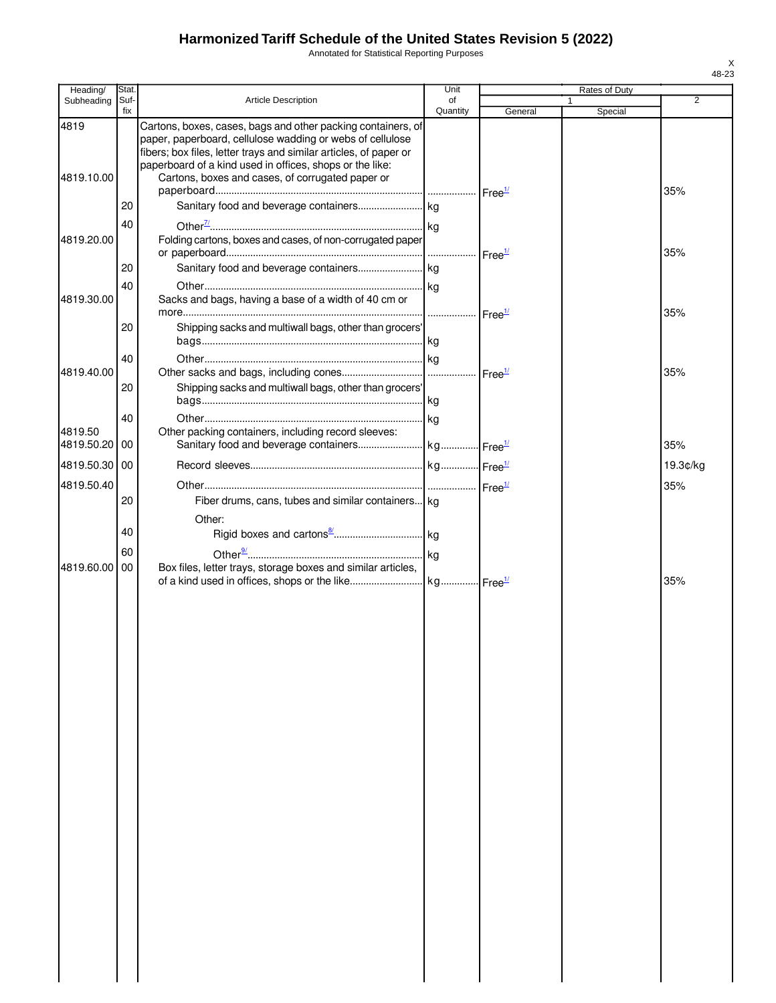Annotated for Statistical Reporting Purposes

| Heading/           | Stat<br>Suf- | <b>Article Description</b>                                                                                                                                                                                                                                                                                     | Unit<br>of |                    | Rates of Duty | $\overline{2}$ |
|--------------------|--------------|----------------------------------------------------------------------------------------------------------------------------------------------------------------------------------------------------------------------------------------------------------------------------------------------------------------|------------|--------------------|---------------|----------------|
| Subheading         | fix          |                                                                                                                                                                                                                                                                                                                | Quantity   | General            | Special       |                |
| 4819<br>4819.10.00 |              | Cartons, boxes, cases, bags and other packing containers, of<br>paper, paperboard, cellulose wadding or webs of cellulose<br>fibers; box files, letter trays and similar articles, of paper or<br>paperboard of a kind used in offices, shops or the like:<br>Cartons, boxes and cases, of corrugated paper or |            |                    |               | 35%            |
|                    | 20           |                                                                                                                                                                                                                                                                                                                |            |                    |               |                |
|                    | 40           |                                                                                                                                                                                                                                                                                                                |            |                    |               |                |
| 4819.20.00         |              | Folding cartons, boxes and cases, of non-corrugated paper                                                                                                                                                                                                                                                      |            | Free <sup>1/</sup> |               | 35%            |
|                    | 20           |                                                                                                                                                                                                                                                                                                                |            |                    |               |                |
| 4819.30.00         | 40           | Sacks and bags, having a base of a width of 40 cm or                                                                                                                                                                                                                                                           |            |                    |               | 35%            |
|                    | 20           | Shipping sacks and multiwall bags, other than grocers'                                                                                                                                                                                                                                                         |            |                    |               |                |
|                    | 40           |                                                                                                                                                                                                                                                                                                                |            |                    |               |                |
| 4819.40.00         |              |                                                                                                                                                                                                                                                                                                                |            |                    |               | 35%            |
|                    | 20           | Shipping sacks and multiwall bags, other than grocers'                                                                                                                                                                                                                                                         |            |                    |               |                |
|                    | 40           |                                                                                                                                                                                                                                                                                                                |            |                    |               |                |
| 4819.50            |              | Other packing containers, including record sleeves:                                                                                                                                                                                                                                                            |            |                    |               |                |
| 4819.50.20 00      |              |                                                                                                                                                                                                                                                                                                                |            |                    |               | 35%            |
| 4819.50.30 00      |              |                                                                                                                                                                                                                                                                                                                |            |                    |               | 19.3¢/kg       |
| 4819.50.40         |              |                                                                                                                                                                                                                                                                                                                |            |                    |               | 35%            |
|                    | 20           | Fiber drums, cans, tubes and similar containers kg                                                                                                                                                                                                                                                             |            |                    |               |                |
|                    |              | Other:                                                                                                                                                                                                                                                                                                         |            |                    |               |                |
|                    | 40           |                                                                                                                                                                                                                                                                                                                |            |                    |               |                |
|                    | 60           |                                                                                                                                                                                                                                                                                                                |            |                    |               |                |
| 4819.60.00 00      |              | Box files, letter trays, storage boxes and similar articles,                                                                                                                                                                                                                                                   |            |                    |               | 35%            |
|                    |              |                                                                                                                                                                                                                                                                                                                |            |                    |               |                |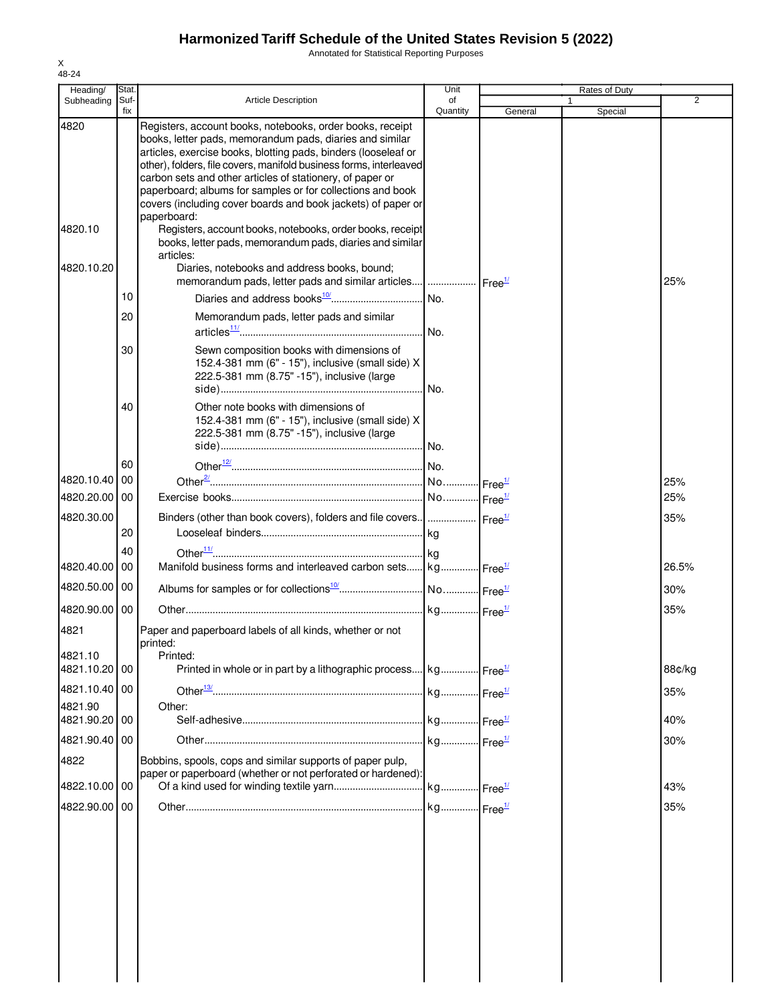Annotated for Statistical Reporting Purposes

| Heading/                    | Stat.       |                                                                                                                                                                                                                                                                                                                                                                                                                                                          | Unit           |         | Rates of Duty           |            |
|-----------------------------|-------------|----------------------------------------------------------------------------------------------------------------------------------------------------------------------------------------------------------------------------------------------------------------------------------------------------------------------------------------------------------------------------------------------------------------------------------------------------------|----------------|---------|-------------------------|------------|
| Subheading                  | Suf-<br>fix | <b>Article Description</b>                                                                                                                                                                                                                                                                                                                                                                                                                               | of<br>Quantity | General | $\mathbf{1}$<br>Special | 2          |
| 4820                        |             | Registers, account books, notebooks, order books, receipt<br>books, letter pads, memorandum pads, diaries and similar<br>articles, exercise books, blotting pads, binders (looseleaf or<br>other), folders, file covers, manifold business forms, interleaved<br>carbon sets and other articles of stationery, of paper or<br>paperboard; albums for samples or for collections and book<br>covers (including cover boards and book jackets) of paper or |                |         |                         |            |
| 4820.10                     |             | paperboard:<br>Registers, account books, notebooks, order books, receipt<br>books, letter pads, memorandum pads, diaries and similar<br>articles:                                                                                                                                                                                                                                                                                                        |                |         |                         |            |
| 4820.10.20                  |             | Diaries, notebooks and address books, bound;<br>memorandum pads, letter pads and similar articles  Free <sup>1/</sup>                                                                                                                                                                                                                                                                                                                                    |                |         |                         | 25%        |
|                             | 10          |                                                                                                                                                                                                                                                                                                                                                                                                                                                          | No.            |         |                         |            |
|                             | 20          | Memorandum pads, letter pads and similar                                                                                                                                                                                                                                                                                                                                                                                                                 | No.            |         |                         |            |
|                             | 30          | Sewn composition books with dimensions of<br>152.4-381 mm (6" - 15"), inclusive (small side) X<br>222.5-381 mm (8.75" -15"), inclusive (large                                                                                                                                                                                                                                                                                                            | No.            |         |                         |            |
|                             | 40          | Other note books with dimensions of<br>152.4-381 mm (6" - 15"), inclusive (small side) X<br>222.5-381 mm (8.75" -15"), inclusive (large                                                                                                                                                                                                                                                                                                                  |                |         |                         |            |
|                             | 60          |                                                                                                                                                                                                                                                                                                                                                                                                                                                          |                |         |                         |            |
| 4820.10.40<br>4820.20.00 00 | 00          |                                                                                                                                                                                                                                                                                                                                                                                                                                                          |                |         |                         | 25%<br>25% |
|                             |             |                                                                                                                                                                                                                                                                                                                                                                                                                                                          |                |         |                         |            |
| 4820.30.00                  | 20          | Binders (other than book covers), folders and file covers      Free <sup>1/</sup>                                                                                                                                                                                                                                                                                                                                                                        |                |         |                         | 35%        |
| 4820.40.00                  | 40<br>00    | Manifold business forms and interleaved carbon sets kg Free <sup>1/</sup>                                                                                                                                                                                                                                                                                                                                                                                |                |         |                         | 26.5%      |
| 4820.50.00                  | 00          |                                                                                                                                                                                                                                                                                                                                                                                                                                                          |                |         |                         | 30%        |
| 4820.90.00 00               |             |                                                                                                                                                                                                                                                                                                                                                                                                                                                          |                |         |                         | 35%        |
| 4821<br>4821.10             |             | Paper and paperboard labels of all kinds, whether or not<br>printed:                                                                                                                                                                                                                                                                                                                                                                                     |                |         |                         |            |
| 4821.10.20 00               |             | Printed:<br>Printed in whole or in part by a lithographic process kg Free <sup>1/</sup>                                                                                                                                                                                                                                                                                                                                                                  |                |         |                         | 88¢/kg     |
| 4821.10.40 00               |             |                                                                                                                                                                                                                                                                                                                                                                                                                                                          |                |         |                         | 35%        |
| 4821.90                     |             | Other:                                                                                                                                                                                                                                                                                                                                                                                                                                                   |                |         |                         |            |
| 4821.90.20                  | 00          |                                                                                                                                                                                                                                                                                                                                                                                                                                                          |                |         |                         | 40%        |
| 4821.90.40 00<br>4822       |             | Bobbins, spools, cops and similar supports of paper pulp,                                                                                                                                                                                                                                                                                                                                                                                                |                |         |                         | 30%        |
| 4822.10.00 00               |             | paper or paperboard (whether or not perforated or hardened):                                                                                                                                                                                                                                                                                                                                                                                             |                |         |                         | 43%        |
| 4822.90.00                  | 00          |                                                                                                                                                                                                                                                                                                                                                                                                                                                          |                |         |                         |            |
|                             |             |                                                                                                                                                                                                                                                                                                                                                                                                                                                          |                |         |                         | 35%        |

X 48-24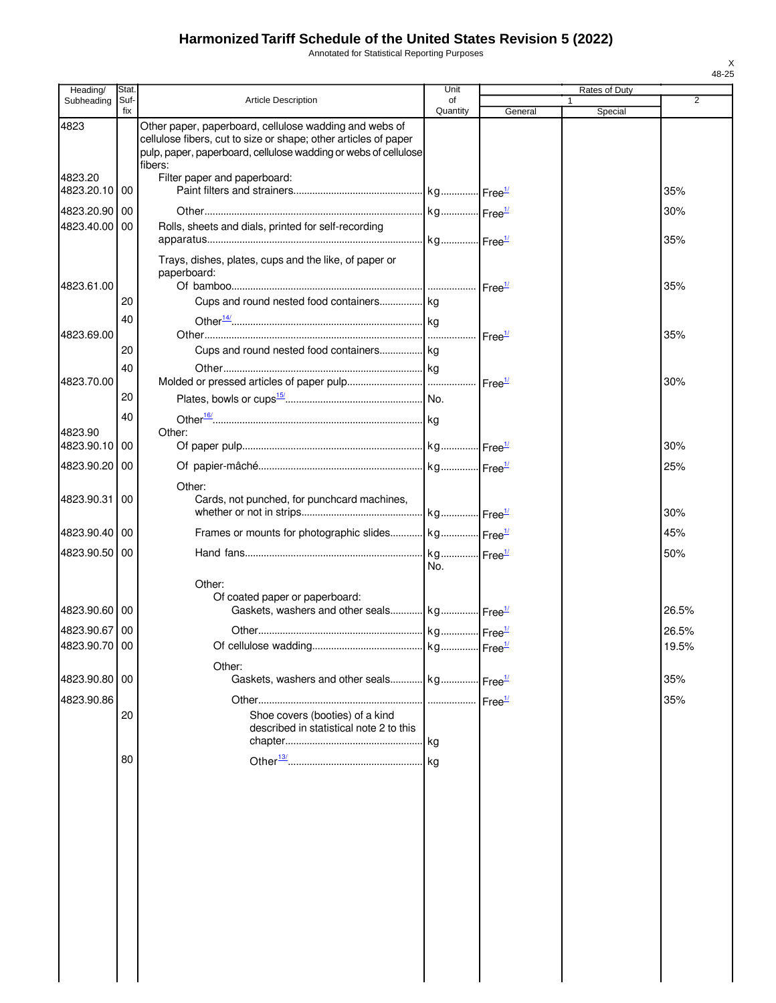Annotated for Statistical Reporting Purposes

| Heading/              | Stat.       |                                                                                                                                                                                                         | Unit           |                    | Rates of Duty |       |
|-----------------------|-------------|---------------------------------------------------------------------------------------------------------------------------------------------------------------------------------------------------------|----------------|--------------------|---------------|-------|
| Subheading            | Suf-<br>fix | <b>Article Description</b>                                                                                                                                                                              | of<br>Quantity | General            | 1<br>Special  | 2     |
| 4823                  |             | Other paper, paperboard, cellulose wadding and webs of<br>cellulose fibers, cut to size or shape; other articles of paper<br>pulp, paper, paperboard, cellulose wadding or webs of cellulose<br>fibers: |                |                    |               |       |
| 4823.20<br>4823.20.10 | 00          | Filter paper and paperboard:                                                                                                                                                                            |                |                    |               | 35%   |
| 4823.20.90            | 00          |                                                                                                                                                                                                         |                |                    |               | 30%   |
| 4823.40.00            | 00          | Rolls, sheets and dials, printed for self-recording                                                                                                                                                     |                |                    |               |       |
|                       |             |                                                                                                                                                                                                         |                |                    |               | 35%   |
| 4823.61.00            |             | Trays, dishes, plates, cups and the like, of paper or<br>paperboard:                                                                                                                                    |                |                    |               | 35%   |
|                       | 20          | Cups and round nested food containers kg                                                                                                                                                                |                |                    |               |       |
|                       | 40          |                                                                                                                                                                                                         |                |                    |               |       |
| 4823.69.00            |             |                                                                                                                                                                                                         |                | Free <sup>1/</sup> |               | 35%   |
|                       | 20          | Cups and round nested food containers kg                                                                                                                                                                |                |                    |               |       |
| 4823.70.00            | 40          |                                                                                                                                                                                                         |                |                    |               | 30%   |
|                       | 20          |                                                                                                                                                                                                         |                |                    |               |       |
|                       | 40          |                                                                                                                                                                                                         |                |                    |               |       |
| 4823.90               |             | Other:                                                                                                                                                                                                  |                |                    |               |       |
| 4823.90.10            | 00          |                                                                                                                                                                                                         |                |                    |               | 30%   |
| 4823.90.20            | 00          |                                                                                                                                                                                                         |                |                    |               | 25%   |
|                       |             | Other:                                                                                                                                                                                                  |                |                    |               |       |
| 4823.90.31            | 00          | Cards, not punched, for punchcard machines,                                                                                                                                                             |                |                    |               | 30%   |
| 4823.90.40   00       |             |                                                                                                                                                                                                         |                |                    |               | 45%   |
| 4823.90.50            | 00          |                                                                                                                                                                                                         |                |                    |               | 50%   |
|                       |             |                                                                                                                                                                                                         | No.            |                    |               |       |
|                       |             | Other:                                                                                                                                                                                                  |                |                    |               |       |
| 4823.90.60 00         |             | Of coated paper or paperboard:<br>Gaskets, washers and other seals kg Free <sup>1/</sup>                                                                                                                |                |                    |               | 26.5% |
| 4823.90.67 00         |             |                                                                                                                                                                                                         |                |                    |               | 26.5% |
| 4823.90.70 00         |             |                                                                                                                                                                                                         |                |                    |               | 19.5% |
| 4823.90.80            | 00          | Other:                                                                                                                                                                                                  |                |                    |               |       |
|                       |             | Gaskets, washers and other seals kg Free <sup>1/</sup>                                                                                                                                                  |                |                    |               | 35%   |
| 4823.90.86            | 20          | Shoe covers (booties) of a kind<br>described in statistical note 2 to this                                                                                                                              |                | Free <sup>1/</sup> |               | 35%   |
|                       | 80          |                                                                                                                                                                                                         |                |                    |               |       |
|                       |             |                                                                                                                                                                                                         |                |                    |               |       |
|                       |             |                                                                                                                                                                                                         |                |                    |               |       |
|                       |             |                                                                                                                                                                                                         |                |                    |               |       |
|                       |             |                                                                                                                                                                                                         |                |                    |               |       |
|                       |             |                                                                                                                                                                                                         |                |                    |               |       |
|                       |             |                                                                                                                                                                                                         |                |                    |               |       |